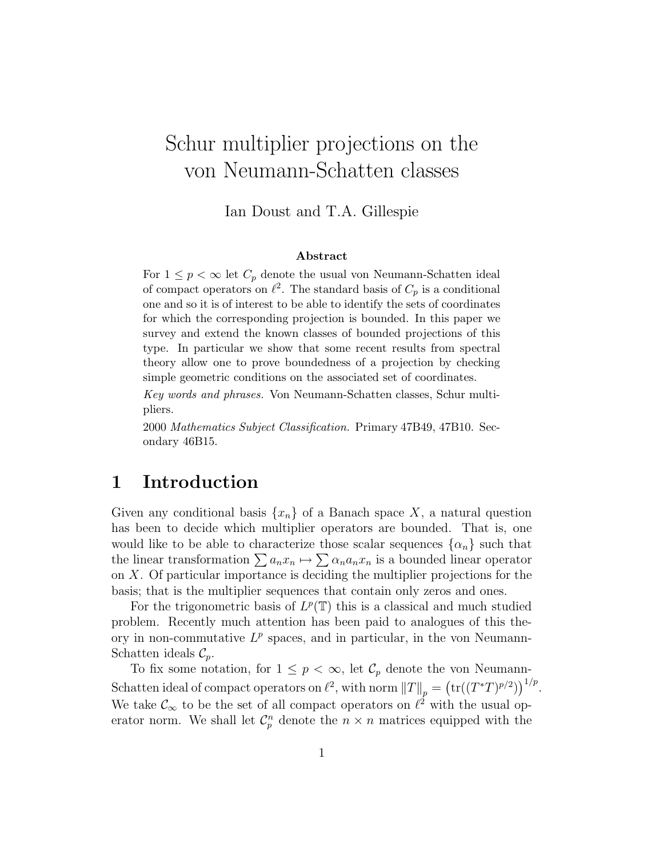# Schur multiplier projections on the von Neumann-Schatten classes

Ian Doust and T.A. Gillespie

#### **Abstract**

For  $1 \leq p < \infty$  let  $C_p$  denote the usual von Neumann-Schatten ideal of compact operators on  $\ell^2$ . The standard basis of  $C_p$  is a conditional one and so it is of interest to be able to identify the sets of coordinates for which the corresponding projection is bounded. In this paper we survey and extend the known classes of bounded projections of this type. In particular we show that some recent results from spectral theory allow one to prove boundedness of a projection by checking simple geometric conditions on the associated set of coordinates.

*Key words and phrases.* Von Neumann-Schatten classes, Schur multipliers.

2000 *Mathematics Subject Classification.* Primary 47B49, 47B10. Secondary 46B15.

## **1 Introduction**

Given any conditional basis  $\{x_n\}$  of a Banach space X, a natural question has been to decide which multiplier operators are bounded. That is, one would like to be able to characterize those scalar sequences  $\{\alpha_n\}$  such that the linear transformation  $\sum a_n x_n \mapsto \sum \alpha_n a_n x_n$  is a bounded linear operator on X. Of particular importance is deciding the multiplier projections for the basis; that is the multiplier sequences that contain only zeros and ones.

For the trigonometric basis of  $L^p(\mathbb{T})$  this is a classical and much studied problem. Recently much attention has been paid to analogues of this theory in non-commutative  $L^p$  spaces, and in particular, in the von Neumann-Schatten ideals  $\mathcal{C}_p$ .

To fix some notation, for  $1 \leq p < \infty$ , let  $\mathcal{C}_p$  denote the von Neumann-Schatten ideal of compact operators on  $\ell^2$ , with norm  $||T||_p = (\text{tr}((T^*T)^{p/2}))^{1/p}$ .<br>We take  $C$  to be the get of all compact operators on  $\ell^2$  with the wavel operators. We take  $\mathcal{C}_{\infty}$  to be the set of all compact operators on  $\ell^2$  with the usual operator norm. We shall let  $\mathcal{C}_p^n$  denote the  $n \times n$  matrices equipped with the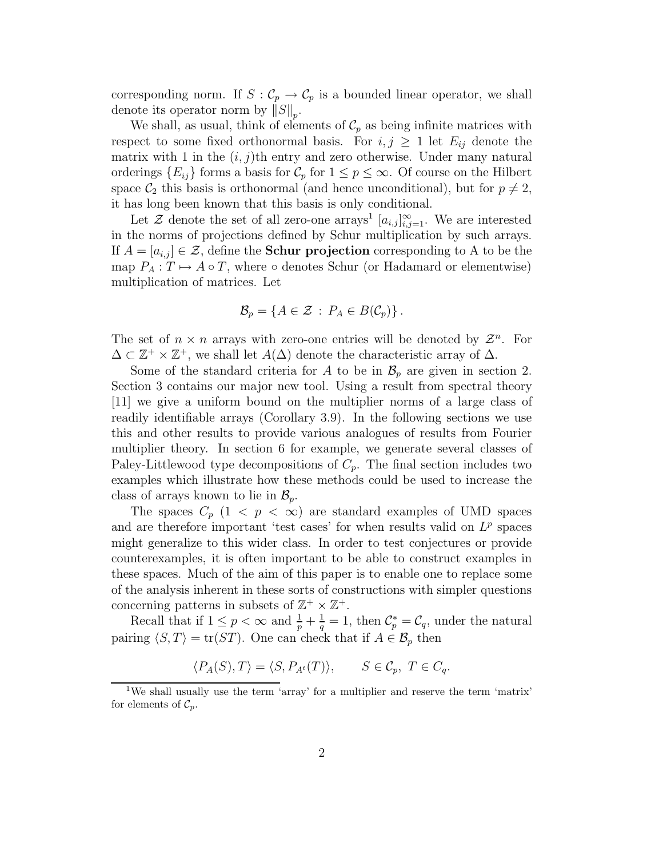corresponding norm. If  $S: \mathcal{C}_p \to \mathcal{C}_p$  is a bounded linear operator, we shall denote its operator norm by  $||S||_p$ .<br>We shall as usual think of elec-

We shall, as usual, think of elements of  $\mathcal{C}_p$  as being infinite matrices with respect to some fixed orthonormal basis. For  $i, j \geq 1$  let  $E_{ij}$  denote the matrix with 1 in the  $(i, j)$ th entry and zero otherwise. Under many natural orderings  ${E_{ij}}$  forms a basis for  $\mathcal{C}_p$  for  $1 \leq p \leq \infty$ . Of course on the Hilbert space  $C_2$  this basis is orthonormal (and hence unconditional), but for  $p \neq 2$ , it has long been known that this basis is only conditional.

Let  $\mathcal Z$  denote the set of all zero-one arrays<sup>1</sup>  $[a_{i,j}]_{i,j=1}^{\infty}$ . We are interested<br>be narma of projections defined by Sehur multiplication by such arrays in the norms of projections defined by Schur multiplication by such arrays. If  $A = [a_{i,j}] \in \mathcal{Z}$ , define the **Schur projection** corresponding to A to be the map  $P_A: T \mapsto A \circ T$ , where  $\circ$  denotes Schur (or Hadamard or elementwise) multiplication of matrices. Let

$$
\mathcal{B}_p = \{A \in \mathcal{Z} : P_A \in B(\mathcal{C}_p)\}.
$$

The set of  $n \times n$  arrays with zero-one entries will be denoted by  $\mathcal{Z}^n$ . For  $\Delta \subset \mathbb{Z}^+ \times \mathbb{Z}^+$ , we shall let  $A(\Delta)$  denote the characteristic array of  $\Delta$ .

Some of the standard criteria for A to be in  $\mathcal{B}_p$  are given in section 2. Section 3 contains our major new tool. Using a result from spectral theory [11] we give a uniform bound on the multiplier norms of a large class of readily identifiable arrays (Corollary 3.9). In the following sections we use this and other results to provide various analogues of results from Fourier multiplier theory. In section 6 for example, we generate several classes of Paley-Littlewood type decompositions of  $C_p$ . The final section includes two examples which illustrate how these methods could be used to increase the class of arrays known to lie in  $\mathcal{B}_p$ .

The spaces  $C_p$   $(1 \lt p \lt \infty)$  are standard examples of UMD spaces and are therefore important 'test cases' for when results valid on  $L^p$  spaces might generalize to this wider class. In order to test conjectures or provide counterexamples, it is often important to be able to construct examples in these spaces. Much of the aim of this paper is to enable one to replace some of the analysis inherent in these sorts of constructions with simpler questions concerning patterns in subsets of  $\mathbb{Z}^+ \times \mathbb{Z}^+$ .

Recall that if  $1 \leq p < \infty$  and  $\frac{1}{p} + \frac{1}{q} = 1$ , then  $\mathcal{C}_p^* = \mathcal{C}_q$ , under the natural<br>ring  $(S, T) = tr(ST)$ . One can shock that if  $A \subseteq \mathcal{B}$ , then pairing  $\langle S, T \rangle = \text{tr}(ST)$ . One can check that if  $A \in \mathcal{B}_p$  then

$$
\langle P_A(S), T \rangle = \langle S, P_{A^t}(T) \rangle, \qquad S \in \mathcal{C}_p, T \in C_q.
$$

<sup>&</sup>lt;sup>1</sup>We shall usually use the term 'array' for a multiplier and reserve the term 'matrix' for elements of  $\mathcal{C}_p$ .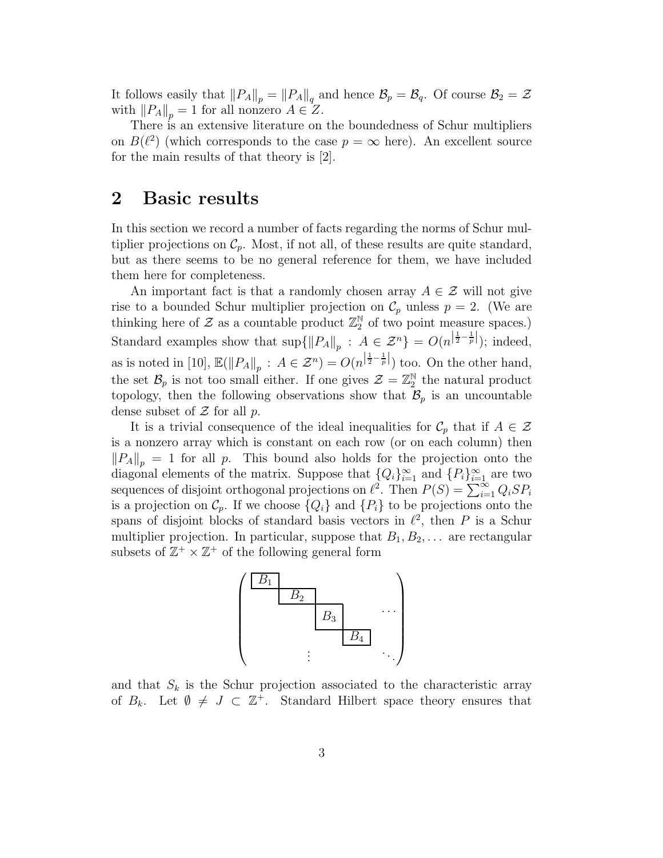It follows easily that  $||P_A||_p = ||P_A||_q$  and hence  $\mathcal{B}_p = \mathcal{B}_q$ . Of course  $\mathcal{B}_2 = \mathcal{Z}$ with  $||P_A||_p = 1$  for all nonzero  $A \in \mathbb{Z}$ .

There is an extensive literature on the boundedness of Schur multipliers on  $B(\ell^2)$  (which corresponds to the case  $p = \infty$  here). An excellent source for the main results of that theory is [2].

## **2 Basic results**

In this section we record a number of facts regarding the norms of Schur multiplier projections on  $\mathcal{C}_p$ . Most, if not all, of these results are quite standard, but as there seems to be no general reference for them, we have included them here for completeness.

An important fact is that a randomly chosen array  $A \in \mathcal{Z}$  will not give rise to a bounded Schur multiplier projection on  $\mathcal{C}_p$  unless  $p = 2$ . (We are thinking here of  $\mathcal Z$  as a countable product  $\mathbb Z_2^{\mathbb N}$  of two point measure spaces.) Standard examples show that  $\sup\{\|P_A\|_p : A \in \mathcal{Z}^n\} = O(n^{\left|\frac{1}{2} - \frac{1}{p}\right|})$ ; indeed, as is noted in [10],  $\mathbb{E}(\|P_A\|_p : A \in \mathcal{Z}^n) = O(n^{\left|\frac{1}{2}-\frac{1}{p}\right|})$  too. On the other hand, the set  $\mathcal{B}_p$  is not too small either. If one gives  $\mathcal{Z} = \mathbb{Z}_2^{\mathbb{N}}$  the natural product topology, then the following observations show that  $\mathcal{B}_p$  is an uncountable dense subset of  $\mathcal Z$  for all  $p$ .

It is a trivial consequence of the ideal inequalities for  $\mathcal{C}_p$  that if  $A \in \mathcal{Z}$ is a nonzero array which is constant on each row (or on each column) then  $||P_A||_p = 1$  for all p. This bound also holds for the projection onto the diagonal elements of the matrix. Suppose that  ${Q_i}_{i=1}^{\infty}$  and  ${P_i}_{i=1}^{\infty}$  are two<br>converges of disjoint orthogonal projections on  $l^2$ . Then  $P(S)$  –  $\sum_{i=1}^{\infty} Q_i S P$ sequences of disjoint orthogonal projections on  $\ell^2$ . Then  $P(S) = \sum_{i=1}^{\infty} Q_i S P_i$ <br>is a projection on  $C$ . If we choose  $\{Q_i\}$  and  $\{P_i\}$  to be projections onto the is a projection on  $\mathcal{C}_p$ . If we choose  $\{Q_i\}$  and  $\{P_i\}$  to be projections onto the spans of disjoint blocks of standard basis vectors in  $\ell^2$ , then P is a Schur multiplier projection. In particular, suppose that  $B_1, B_2, \ldots$  are rectangular subsets of  $\mathbb{Z}^+ \times \mathbb{Z}^+$  of the following general form



and that  $S_k$  is the Schur projection associated to the characteristic array of  $B_k$ . Let  $\emptyset \neq J \subset \mathbb{Z}^+$ . Standard Hilbert space theory ensures that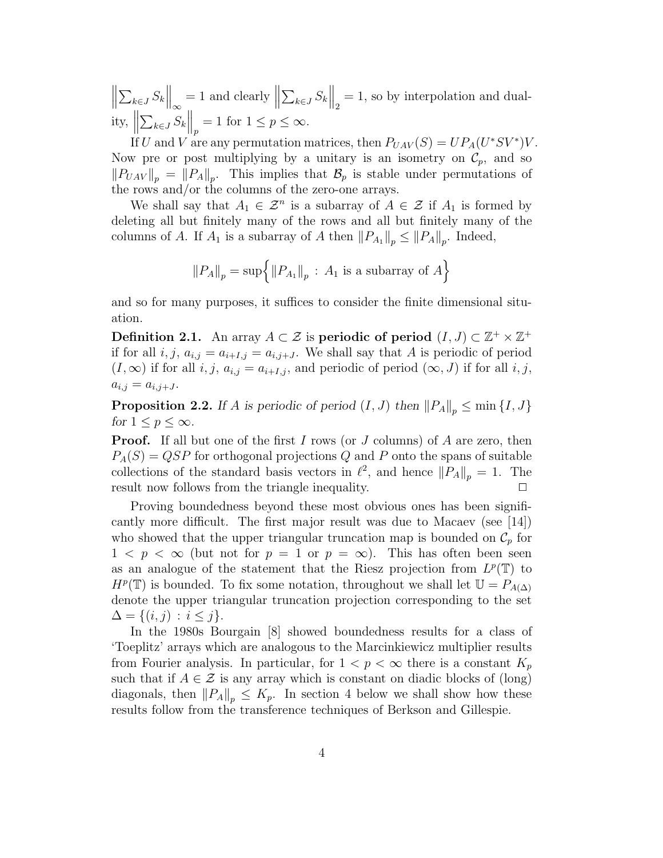$\left\| \sum_{k\in J} S_k \right\|_{\infty} = 1$  and clearly  $\left\| \sum_{k\in J} S_k \right\|_2 = 1$ , so by interpolation and dual-∞ ity,  $\left\| \sum_{k \in J} S_k \right\|_p = 1$  for  $1 \le p \le \infty$ .

If U and V are any permutation matrices, then  $P_{UAV}(S) = UP_A(U^*SV^*)V$ . Now pre or post multiplying by a unitary is an isometry on  $\mathcal{C}_p$ , and so  $||P_{UAV}||_p = ||P_A||_p$ . This implies that  $\mathcal{B}_p$  is stable under permutations of the rows and/or the columns of the zero-one arrays.

We shall say that  $A_1 \in \mathcal{Z}^n$  is a subarray of  $A \in \mathcal{Z}$  if  $A_1$  is formed by deleting all but finitely many of the rows and all but finitely many of the columns of A. If  $A_1$  is a subarray of A then  $||P_{A_1}||_n \leq ||P_A||_n$ . Indeed,

$$
||P_A||_p = \sup \Biggl\{ ||P_{A_1}||_p : A_1 \text{ is a subarray of } A \Biggr\}
$$

and so for many purposes, it suffices to consider the finite dimensional situation.

**Definition 2.1.** An array  $A \subset \mathcal{Z}$  is **periodic of period**  $(I, J) \subset \mathbb{Z}^+ \times \mathbb{Z}^+$ if for all i, j,  $a_{i,j} = a_{i+I,j} = a_{i,j+J}$ . We shall say that A is periodic of period  $(I, \infty)$  if for all  $i, j, a_{i,j} = a_{i+I,j}$ , and periodic of period  $(\infty, J)$  if for all  $i, j$ ,  $a_{i,j} = a_{i,j+J}.$ 

**Proposition 2.2.** If A is periodic of period  $(I, J)$  then  $||P_A||_p \le \min\{I, J\}$ *for*  $1 \leq p \leq \infty$ *.* 

**Proof.** If all but one of the first I rows (or J columns) of A are zero, then  $P_A(S) = QSP$  for orthogonal projections Q and P onto the spans of suitable collections of the standard basis vectors in  $\ell^2$ , and hence  $||P_A||_p = 1$ . The result now follows from the triangle inequality result now follows from the triangle inequality.

Proving boundedness beyond these most obvious ones has been significantly more difficult. The first major result was due to Macaev (see [14]) who showed that the upper triangular truncation map is bounded on  $\mathcal{C}_p$  for  $1 < p < \infty$  (but not for  $p = 1$  or  $p = \infty$ ). This has often been seen as an analogue of the statement that the Riesz projection from  $L^p(\mathbb{T})$  to  $H^p(\mathbb{T})$  is bounded. To fix some notation, throughout we shall let  $\mathbb{U} = P_{A(\Delta)}$ denote the upper triangular truncation projection corresponding to the set  $\Delta = \{(i, j) : i \leq j\}.$ 

In the 1980s Bourgain [8] showed boundedness results for a class of 'Toeplitz' arrays which are analogous to the Marcinkiewicz multiplier results from Fourier analysis. In particular, for  $1 < p < \infty$  there is a constant  $K_p$ such that if  $A \in \mathcal{Z}$  is any array which is constant on diadic blocks of (long) diagonals, then  $||P_A||_p \leq K_p$ . In section 4 below we shall show how these results follow from the transference techniques of Berkson and Gillespie.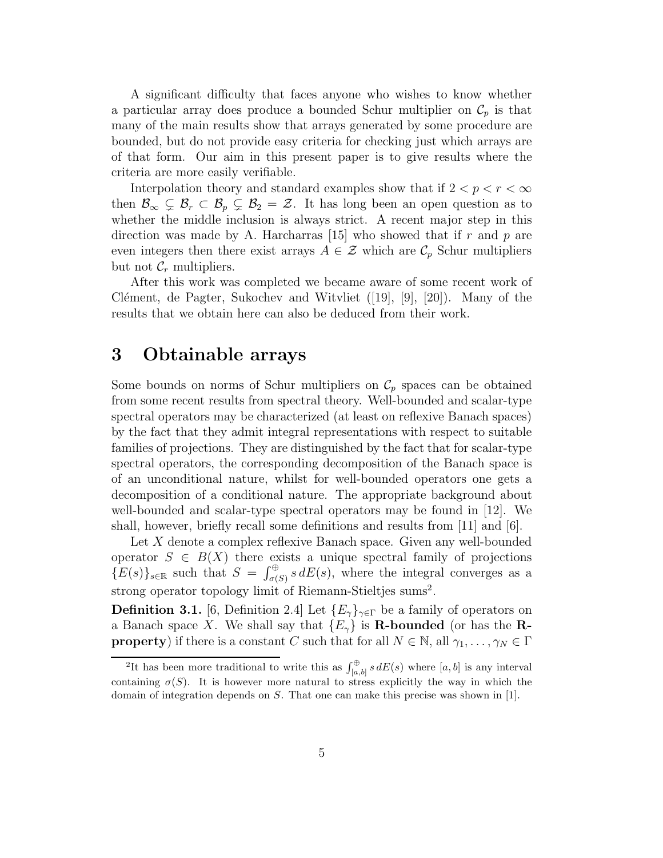A significant difficulty that faces anyone who wishes to know whether a particular array does produce a bounded Schur multiplier on  $\mathcal{C}_p$  is that many of the main results show that arrays generated by some procedure are bounded, but do not provide easy criteria for checking just which arrays are of that form. Our aim in this present paper is to give results where the criteria are more easily verifiable.

Interpolation theory and standard examples show that if  $2 < p < r < \infty$ then  $\mathcal{B}_{\infty} \subsetneq \mathcal{B}_{r} \subset \mathcal{B}_{p} \subsetneq \mathcal{B}_{2} = \mathcal{Z}$ . It has long been an open question as to whether the middle inclusion is always strict. A recent major step in this direction was made by A. Harcharras [15] who showed that if r and p are even integers then there exist arrays  $A \in \mathcal{Z}$  which are  $\mathcal{C}_p$  Schur multipliers but not  $\mathcal{C}_r$  multipliers.

After this work was completed we became aware of some recent work of Clément, de Pagter, Sukochev and Witvliet  $([19], [9], [20])$ . Many of the results that we obtain here can also be deduced from their work.

### **3 Obtainable arrays**

Some bounds on norms of Schur multipliers on  $\mathcal{C}_p$  spaces can be obtained from some recent results from spectral theory. Well-bounded and scalar-type spectral operators may be characterized (at least on reflexive Banach spaces) by the fact that they admit integral representations with respect to suitable families of projections. They are distinguished by the fact that for scalar-type spectral operators, the corresponding decomposition of the Banach space is of an unconditional nature, whilst for well-bounded operators one gets a decomposition of a conditional nature. The appropriate background about well-bounded and scalar-type spectral operators may be found in [12]. We shall, however, briefly recall some definitions and results from [11] and [6].

Let  $X$  denote a complex reflexive Banach space. Given any well-bounded operator  $S \in B(X)$  there exists a unique spectral family of projections  ${E(s)}_{s \in \mathbb{R}}$  such that  $S = \int_{\sigma(S)}^{\oplus} s dE(s)$ , where the integral converges as a strong operator topology limit of Riemann-Stieltjes sums<sup>2</sup>.

**Definition 3.1.** [6, Definition 2.4] Let  $\{E_{\gamma}\}_{\gamma \in \Gamma}$  be a family of operators on a Banach space X. We shall say that  $\{E_\gamma\}$  is **R-bounded** (or has the **Rproperty**) if there is a constant C such that for all  $N \in \mathbb{N}$ , all  $\gamma_1, \ldots, \gamma_N \in \Gamma$ 

<sup>&</sup>lt;sup>2</sup>It has been more traditional to write this as  $\int_{[a,b]}^{\oplus} s dE(s)$  where  $[a,b]$  is any interval containing  $\sigma(S)$ . It is however more natural to stress explicitly the way in which the domain of integration depends on S. That one can make this precise was shown in [1].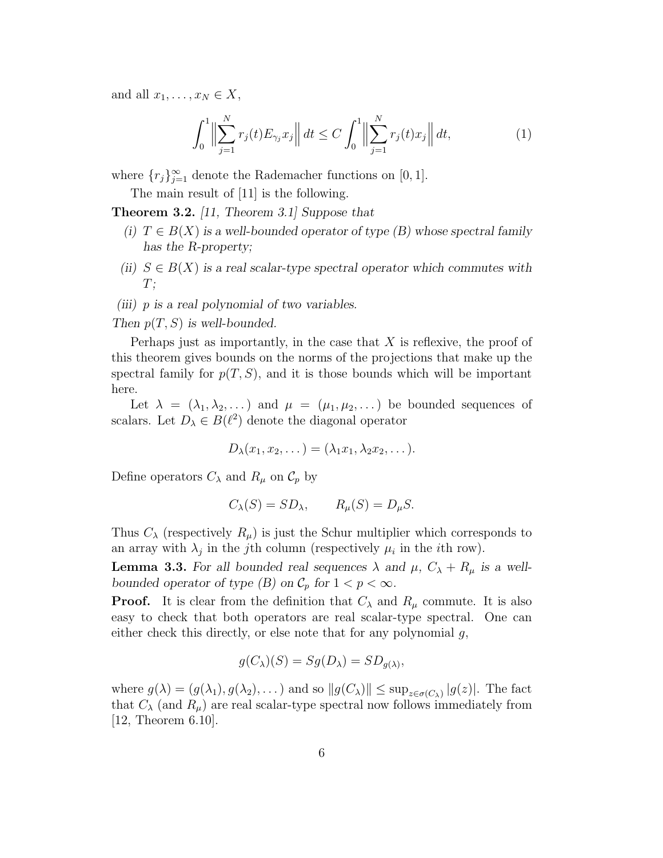and all  $x_1, \ldots, x_N \in X$ ,

$$
\int_0^1 \left\| \sum_{j=1}^N r_j(t) E_{\gamma_j} x_j \right\| dt \le C \int_0^1 \left\| \sum_{j=1}^N r_j(t) x_j \right\| dt,\tag{1}
$$

where  $\{r_j\}_{j=1}^{\infty}$  denote the Rademacher functions on [0, 1].

The main result of [11] is the following.

**Theorem 3.2.** *[11, Theorem 3.1] Suppose that*

- *(i)*  $T \in B(X)$  *is a well-bounded operator of type (B) whose spectral family has the R-property;*
- *(ii)*  $S \in B(X)$  *is a real scalar-type spectral operator which commutes with* T*;*
- *(iii)* p *is a real polynomial of two variables.*

*Then* p(T,S) *is well-bounded.*

Perhaps just as importantly, in the case that  $X$  is reflexive, the proof of this theorem gives bounds on the norms of the projections that make up the spectral family for  $p(T, S)$ , and it is those bounds which will be important here.

Let  $\lambda = (\lambda_1, \lambda_2, \dots)$  and  $\mu = (\mu_1, \mu_2, \dots)$  be bounded sequences of scalars. Let  $D_{\lambda} \in B(\ell^2)$  denote the diagonal operator

$$
D_{\lambda}(x_1,x_2,\dots)=(\lambda_1x_1,\lambda_2x_2,\dots).
$$

Define operators  $C_{\lambda}$  and  $R_{\mu}$  on  $\mathcal{C}_{p}$  by

$$
C_{\lambda}(S) = SD_{\lambda}, \qquad R_{\mu}(S) = D_{\mu}S.
$$

Thus  $C_{\lambda}$  (respectively  $R_{\mu}$ ) is just the Schur multiplier which corresponds to an array with  $\lambda_j$  in the j<sup>th</sup> column (respectively  $\mu_i$  in the *i*th row).

**Lemma 3.3.** For all bounded real sequences  $\lambda$  and  $\mu$ ,  $C_{\lambda} + R_{\mu}$  is a well*bounded operator of type (B) on*  $C_p$  *for*  $1 < p < \infty$ *.* 

**Proof.** It is clear from the definition that  $C_{\lambda}$  and  $R_{\mu}$  commute. It is also easy to check that both operators are real scalar-type spectral. One can easy to check that both operators are real scalar-type spectral. either check this directly, or else note that for any polynomial  $q$ ,

$$
g(C_{\lambda})(S) = Sg(D_{\lambda}) = SD_{g(\lambda)},
$$

where  $g(\lambda)=(g(\lambda_1), g(\lambda_2),\ldots)$  and so  $||g(C_\lambda)|| \leq \sup_{z\in\sigma(C_\lambda)} |g(z)|$ . The fact that  $C_{\lambda}$  (and  $R_{\mu}$ ) are real scalar-type spectral now follows immediately from [12, Theorem 6.10].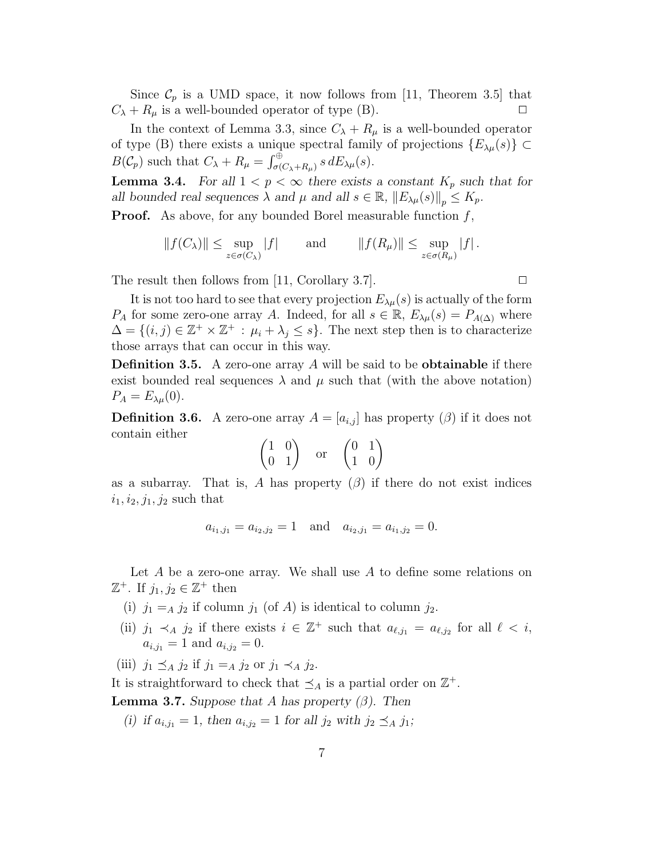Since  $\mathcal{C}_p$  is a UMD space, it now follows from [11, Theorem 3.5] that  $C_{\lambda} + R_{\mu}$  is a well-bounded operator of type (B).

In the context of Lemma 3.3, since  $C_{\lambda} + R_{\mu}$  is a well-bounded operator of type (B) there exists a unique spectral family of projections  $\{E_{\lambda\mu}(s)\}\subset$  $B(\mathcal{C}_p)$  such that  $C_{\lambda} + R_{\mu} = \int_{\sigma(C_{\lambda} + R_{\mu})}^{\oplus} s \, dE_{\lambda \mu}(s)$ .

**Lemma 3.4.** For all  $1 < p < \infty$  there exists a constant  $K_p$  such that for *all bounded real sequences*  $\lambda$  *and*  $\mu$  *and all*  $s \in \mathbb{R}$ *,*  $||E_{\lambda\mu}(s)||_p \leq K_p$ *.* 

**Proof.** As above, for any bounded Borel measurable function  $f$ ,

$$
||f(C_\lambda)|| \le \sup_{z \in \sigma(C_\lambda)} |f| \quad \text{and} \quad ||f(R_\mu)|| \le \sup_{z \in \sigma(R_\mu)} |f|.
$$

The result then follows from [11, Corollary 3.7].  $\Box$ 

It is not too hard to see that every projection  $E_{\lambda\mu}(s)$  is actually of the form  $P_A$  for some zero-one array A. Indeed, for all  $s \in \mathbb{R}$ ,  $E_{\lambda\mu}(s) = P_{A(\Delta)}$  where  $\Delta = \{(i, j) \in \mathbb{Z}^+ \times \mathbb{Z}^+ : \mu_i + \lambda_j \leq s\}.$  The next step then is to characterize those arrays that can occur in this way.

**Definition 3.5.** A zero-one array A will be said to be **obtainable** if there exist bounded real sequences  $\lambda$  and  $\mu$  such that (with the above notation)  $P_A = E_{\lambda\mu}(0).$ 

**Definition 3.6.** A zero-one array  $A = [a_{i,j}]$  has property  $(\beta)$  if it does not contain either

$$
\begin{pmatrix} 1 & 0 \\ 0 & 1 \end{pmatrix} \quad \text{or} \quad \begin{pmatrix} 0 & 1 \\ 1 & 0 \end{pmatrix}
$$

as a subarray. That is, A has property  $(\beta)$  if there do not exist indices  $i_1, i_2, j_1, j_2$  such that

$$
a_{i_1,j_1} = a_{i_2,j_2} = 1
$$
 and  $a_{i_2,j_1} = a_{i_1,j_2} = 0$ .

Let  $A$  be a zero-one array. We shall use  $A$  to define some relations on  $\mathbb{Z}^+$ . If  $j_1, j_2 \in \mathbb{Z}^+$  then

- (i)  $j_1 =_A j_2$  if column  $j_1$  (of A) is identical to column  $j_2$ .
- (ii)  $j_1 \prec_A j_2$  if there exists  $i \in \mathbb{Z}^+$  such that  $a_{\ell, j_1} = a_{\ell, j_2}$  for all  $\ell < i$ ,  $a_{i,j_1} = 1$  and  $a_{i,j_2} = 0$ .
- (iii)  $j_1 \preceq_A j_2$  if  $j_1 =_A j_2$  or  $j_1 \prec_A j_2$ .

It is straightforward to check that  $\preceq_A$  is a partial order on  $\mathbb{Z}^+$ .

**Lemma 3.7.** *Suppose that* A *has property (*β*). Then*

*(i)* if  $a_{i,j_1} = 1$ , then  $a_{i,j_2} = 1$  for all  $j_2$  with  $j_2 \preceq_A j_1$ ;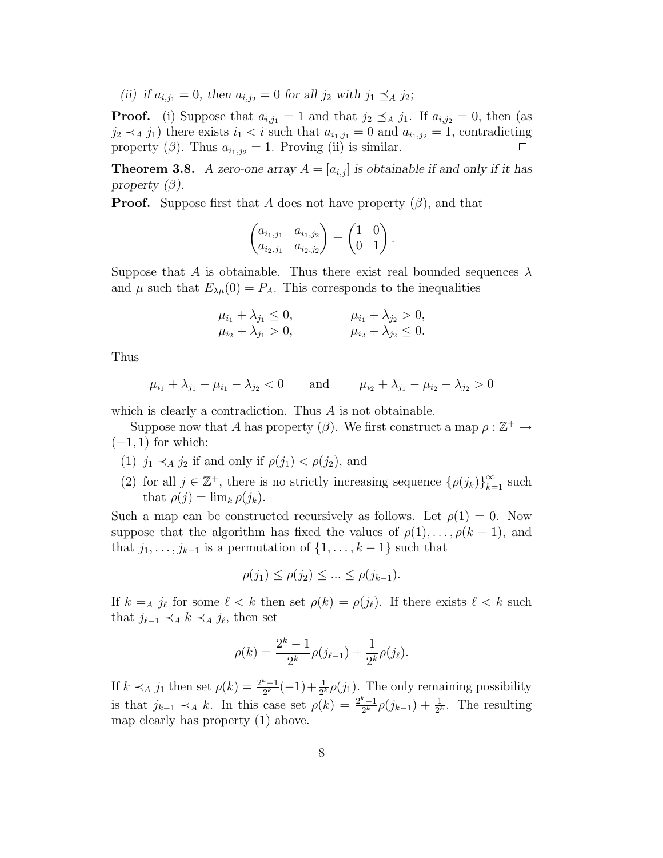*(ii)* if  $a_{i,j_1} = 0$ , then  $a_{i,j_2} = 0$  for all  $j_2$  with  $j_1 \preceq_A j_2$ ;

**Proof.** (i) Suppose that  $a_{i,j_1} = 1$  and that  $j_2 \preceq_A j_1$ . If  $a_{i,j_2} = 0$ , then (as  $j_2 \prec_A j_1$ ) there exists  $i_1 < i$  such that  $a_{i_1,j_1} = 0$  and  $a_{i_1,j_2} = 1$ , contradicting property ( $\beta$ ). Thus  $a_{i_1,i_2} = 1$ . Proving (ii) is similar.

**Theorem 3.8.** *A zero-one array*  $A = [a_{i,j}]$  *is obtainable if and only if it has property (* $\beta$ *).* 

**Proof.** Suppose first that A does not have property  $(\beta)$ , and that

$$
\begin{pmatrix} a_{i_1,j_1} & a_{i_1,j_2} \\ a_{i_2,j_1} & a_{i_2,j_2} \end{pmatrix} = \begin{pmatrix} 1 & 0 \\ 0 & 1 \end{pmatrix}.
$$

Suppose that A is obtainable. Thus there exist real bounded sequences  $\lambda$ and  $\mu$  such that  $E_{\lambda\mu}(0) = P_A$ . This corresponds to the inequalities

$$
\mu_{i_1} + \lambda_{j_1} \le 0, \qquad \mu_{i_1} + \lambda_{j_2} > 0, \n\mu_{i_2} + \lambda_{j_1} > 0, \qquad \mu_{i_2} + \lambda_{j_2} \le 0.
$$

Thus

$$
\mu_{i_1} + \lambda_{j_1} - \mu_{i_1} - \lambda_{j_2} < 0
$$
 and  $\mu_{i_2} + \lambda_{j_1} - \mu_{i_2} - \lambda_{j_2} > 0$ 

which is clearly a contradiction. Thus A is not obtainable.

Suppose now that A has property ( $\beta$ ). We first construct a map  $\rho : \mathbb{Z}^+ \to$  $(-1, 1)$  for which:

- (1)  $j_1 \prec_A j_2$  if and only if  $\rho(j_1) < \rho(j_2)$ , and
- (2) for all  $j \in \mathbb{Z}^+$ , there is no strictly increasing sequence  $\{\rho(j_k)\}_{k=1}^{\infty}$  such that  $\rho(j) = \lim_{k \to \infty} \rho(j_k)$ that  $\rho(j) = \lim_k \rho(j_k)$ .

Such a map can be constructed recursively as follows. Let  $\rho(1) = 0$ . Now suppose that the algorithm has fixed the values of  $\rho(1),\ldots,\rho(k-1)$ , and that  $j_1, \ldots, j_{k-1}$  is a permutation of  $\{1, \ldots, k-1\}$  such that

$$
\rho(j_1) \leq \rho(j_2) \leq \ldots \leq \rho(j_{k-1}).
$$

If  $k = A \; j_\ell$  for some  $\ell < k$  then set  $\rho(k) = \rho(j_\ell)$ . If there exists  $\ell < k$  such that  $j_{\ell-1} \prec_A k \prec_A j_{\ell}$ , then set

$$
\rho(k) = \frac{2^k - 1}{2^k} \rho(j_{\ell-1}) + \frac{1}{2^k} \rho(j_{\ell}).
$$

If  $k \prec_A j_1$  then set  $\rho(k) = \frac{2^k - 1}{2^k}(-1) + \frac{1}{2^k}\rho(j_1)$ . The only remaining possibility is that  $j_{k-1} \prec_A k$ . In this case set  $\rho(k) = \frac{2^k - 1}{2^k} \rho(j_{k-1}) + \frac{1}{2^k}$ . The resulting map clearly has property (1) above.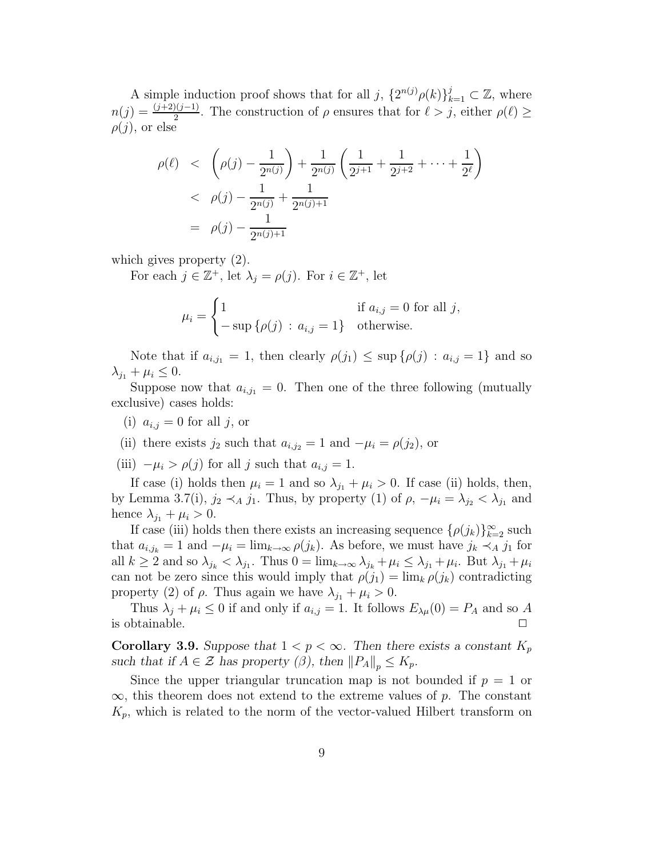A simple induction proof shows that for all  $j$ ,  $\{2^{n(j)}\rho(k)\}_{k=1}^j \subset \mathbb{Z}$ , where  $n(j) = \frac{(j+2)(j-1)}{2}$ . The construction of  $\rho$  ensures that for  $\ell > j$ , either  $\rho(\ell) \ge$  $\rho(j)$ , or else

$$
\rho(\ell) < \left(\rho(j) - \frac{1}{2^{n(j)}}\right) + \frac{1}{2^{n(j)}} \left(\frac{1}{2^{j+1}} + \frac{1}{2^{j+2}} + \dots + \frac{1}{2^{\ell}}\right)
$$
  
<  $\rho(j) - \frac{1}{2^{n(j)}} + \frac{1}{2^{n(j)+1}}$   

$$
= \rho(j) - \frac{1}{2^{n(j)+1}}
$$

which gives property (2).

For each  $j \in \mathbb{Z}^+$ , let  $\lambda_j = \rho(j)$ . For  $i \in \mathbb{Z}^+$ , let

$$
\mu_i = \begin{cases} 1 & \text{if } a_{i,j} = 0 \text{ for all } j, \\ -\sup \{ \rho(j) : a_{i,j} = 1 \} & \text{otherwise.} \end{cases}
$$

Note that if  $a_{i,j_1} = 1$ , then clearly  $\rho(j_1) \leq \sup \{\rho(j) : a_{i,j} = 1\}$  and so  $\lambda_{j_1} + \mu_i \leq 0.$ 

Suppose now that  $a_{i,j_1} = 0$ . Then one of the three following (mutually exclusive) cases holds:

- (i)  $a_{i,j} = 0$  for all j, or
- (ii) there exists  $j_2$  such that  $a_{i,j_2} = 1$  and  $-\mu_i = \rho(j_2)$ , or
- (iii)  $-\mu_i > \rho(j)$  for all j such that  $a_{i,j} = 1$ .

If case (i) holds then  $\mu_i = 1$  and so  $\lambda_{i1} + \mu_i > 0$ . If case (ii) holds, then, by Lemma 3.7(i),  $j_2 \prec_A j_1$ . Thus, by property (1) of  $\rho$ ,  $-\mu_i = \lambda_{j_2} < \lambda_{j_1}$  and hence  $\lambda_{i_1} + \mu_i > 0$ .

If case (iii) holds then there exists an increasing sequence  $\{\rho(j_k)\}_{k=2}^{\infty}$  such t  $c_1 = 1$  and  $\mu = \lim_{k \to \infty} \rho(i_k)$ . As before, we must have  $i_k \neq i$  for that  $a_{i,j_k} = 1$  and  $-\mu_i = \lim_{k \to \infty} \rho(j_k)$ . As before, we must have  $j_k \prec_A j_1$  for all  $k \ge 2$  and so  $\lambda_{j_k} < \lambda_{j_1}$ . Thus  $0 = \lim_{k \to \infty} \lambda_{j_k} + \mu_i \le \lambda_{j_1} + \mu_i$ . But  $\lambda_{j_1} + \mu_i$ can not be zero since this would imply that  $\rho(j_1) = \lim_k \rho(j_k)$  contradicting property (2) of  $\rho$ . Thus again we have  $\lambda_{j_1} + \mu_i > 0$ .

Thus  $\lambda_j + \mu_i \leq 0$  if and only if  $a_{i,j} = 1$ . It follows  $E_{\lambda\mu}(0) = P_A$  and so A b tainable is obtainable.

**Corollary 3.9.** Suppose that  $1 < p < \infty$ . Then there exists a constant  $K_p$ *such that if*  $A \in \mathcal{Z}$  *has property* ( $\beta$ ), *then*  $||P_A||_p \leq K_p$ *.* 

Since the upper triangular truncation map is not bounded if  $p = 1$  or  $\infty$ , this theorem does not extend to the extreme values of p. The constant  $K_p$ , which is related to the norm of the vector-valued Hilbert transform on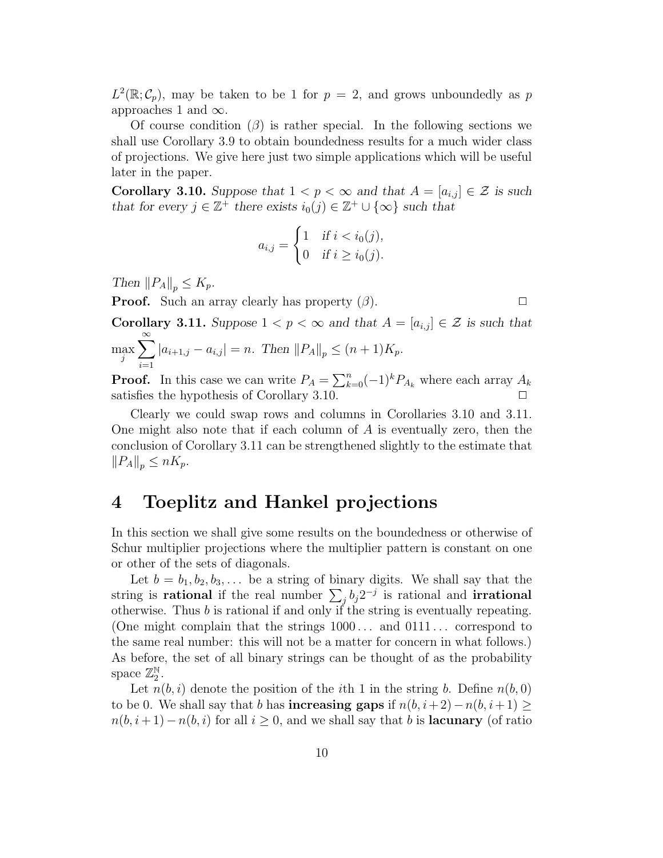$L^2(\mathbb{R}; \mathcal{C}_p)$ , may be taken to be 1 for  $p = 2$ , and grows unboundedly as p approaches 1 and  $\infty$ .

Of course condition  $(\beta)$  is rather special. In the following sections we shall use Corollary 3.9 to obtain boundedness results for a much wider class of projections. We give here just two simple applications which will be useful later in the paper.

**Corollary 3.10.** Suppose that  $1 < p < \infty$  and that  $A = [a_{i,j}] \in \mathcal{Z}$  is such *that for every*  $j \in \mathbb{Z}^+$  *there exists*  $i_0(j) \in \mathbb{Z}^+ \cup \{\infty\}$  *such that* 

$$
a_{i,j} = \begin{cases} 1 & \text{if } i < i_0(j), \\ 0 & \text{if } i \ge i_0(j). \end{cases}
$$

*Then*  $||P_A||_p \leq K_p$ *.* 

**Proof.** Such an array clearly has property  $(\beta)$ .

**Corollary 3.11.** Suppose  $1 < p < \infty$  and that  $A = [a_{i,j}] \in \mathcal{Z}$  is such that max  $\overline{a}$  $\sum^{\infty}$  $i=1$  $|a_{i+1,j} - a_{i,j}| = n$ . Then  $||P_A||_p \le (n+1)K_p$ .

**Proof.** In this case we can write  $P_A = \sum_{k=0}^{n} (-1)^k P_{A_k}$  where each array  $A_k$ satisfies the hypothesis of Corollary 3.10.

Clearly we could swap rows and columns in Corollaries 3.10 and 3.11. One might also note that if each column of  $A$  is eventually zero, then the conclusion of Corollary 3.11 can be strengthened slightly to the estimate that  $||P_A||_p \leq nK_p.$ 

## **4 Toeplitz and Hankel projections**

In this section we shall give some results on the boundedness or otherwise of Schur multiplier projections where the multiplier pattern is constant on one or other of the sets of diagonals.

Let  $b = b_1, b_2, b_3, \ldots$  be a string of binary digits. We shall say that the string is **rational** if the real number  $\sum_j b_j 2^{-j}$  is rational and **irrational**<br>otherwise. Thus h is rational if and only if the string is eventually repeating. otherwise. Thus  $b$  is rational if and only if the string is eventually repeating. (One might complain that the strings  $1000...$  and  $0111...$  correspond to the same real number: this will not be a matter for concern in what follows.) As before, the set of all binary strings can be thought of as the probability space  $\mathbb{Z}_2^{\mathbb{N}}$ .

Let  $n(b, i)$  denote the position of the *i*th 1 in the string *b*. Define  $n(b, 0)$ to be 0. We shall say that b has **increasing gaps** if  $n(b, i+2)-n(b, i+1)$  >  $n(b, i+1) - n(b, i)$  for all  $i \geq 0$ , and we shall say that b is **lacunary** (of ratio

10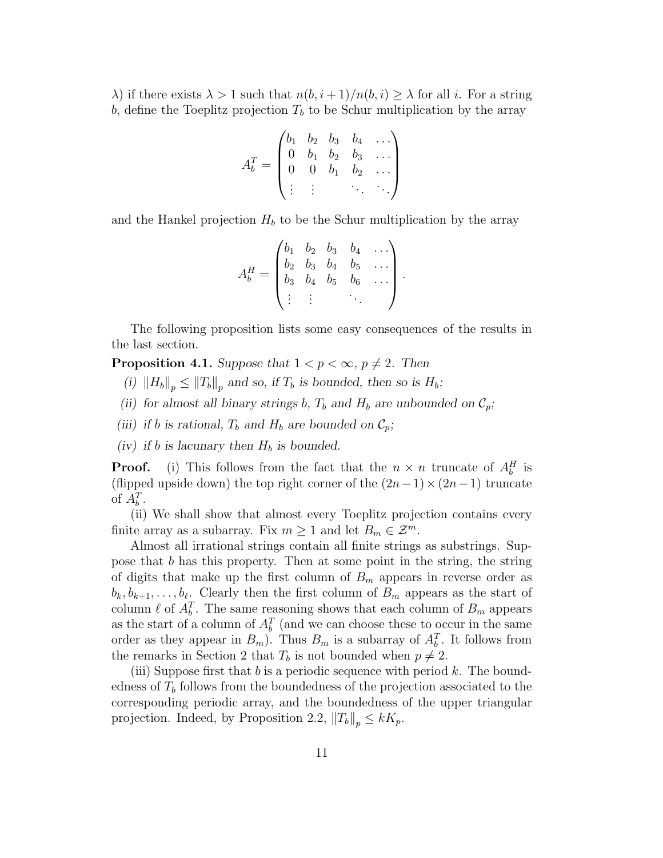$\lambda$ ) if there exists  $\lambda > 1$  such that  $n(b, i + 1)/n(b, i) \geq \lambda$  for all i. For a string b, define the Toeplitz projection  $T<sub>b</sub>$  to be Schur multiplication by the array

$$
A_b^T = \begin{pmatrix} b_1 & b_2 & b_3 & b_4 & \cdots \\ 0 & b_1 & b_2 & b_3 & \cdots \\ 0 & 0 & b_1 & b_2 & \cdots \\ \vdots & \vdots & & \ddots & \ddots \end{pmatrix}
$$

and the Hankel projection  $H_b$  to be the Schur multiplication by the array

$$
A_b^H = \begin{pmatrix} b_1 & b_2 & b_3 & b_4 & \dots \\ b_2 & b_3 & b_4 & b_5 & \dots \\ b_3 & b_4 & b_5 & b_6 & \dots \\ \vdots & \vdots & & \ddots & \end{pmatrix}.
$$

The following proposition lists some easy consequences of the results in the last section.

**Proposition 4.1.** Suppose that  $1 < p < \infty$ ,  $p \neq 2$ . Then

- *(i)*  $||H_b||_p \le ||T_b||_p$  and so, if  $T_b$  is bounded, then so is  $H_b$ ;
- *(ii)* for almost all binary strings b,  $T_b$  and  $H_b$  are unbounded on  $\mathcal{C}_p$ ;
- *(iii)* if *b* is rational,  $T_b$  and  $H_b$  are bounded on  $\mathcal{C}_p$ ;
- *(iv)* if *b* is lacunary then  $H_b$  is bounded.

**Proof.** (i) This follows from the fact that the  $n \times n$  truncate of  $A_n^H$  is (flipped upside down) the top right corner of the  $(2n-1) \times (2n-1)$  truncate (flipped upside down) the top right corner of the  $(2n-1) \times (2n-1)$  truncate of  $A_b^T$ .<br>(ii)

(ii) We shall show that almost every Toeplitz projection contains every finite array as a subarray. Fix  $m \geq 1$  and let  $B_m \in \mathcal{Z}^m$ .

Almost all irrational strings contain all finite strings as substrings. Suppose that b has this property. Then at some point in the string, the string of digits that make up the first column of  $B_m$  appears in reverse order as  $b_k, b_{k+1}, \ldots, b_{\ell}$ . Clearly then the first column of  $B_m$  appears as the start of column  $\ell$  of  $A_b^T$ . The same reasoning shows that each column of  $B_m$  appears as the start of a column of  $A_b^T$  (and we can choose these to occur in the same<br>order as they appear in  $B_b$ ). Thus  $B_b$  is a subgroup of  $A^T$ , It follows from order as they appear in  $B_m$ ). Thus  $B_m$  is a subarray of  $A_b^T$ . It follows from the remarks in Section 2 that T is not bounded when  $n \neq 2$ the remarks in Section 2 that  $T_b$  is not bounded when  $p \neq 2$ .

(iii) Suppose first that b is a periodic sequence with period k. The boundedness of  $T<sub>b</sub>$  follows from the boundedness of the projection associated to the corresponding periodic array, and the boundedness of the upper triangular projection. Indeed, by Proposition 2.2,  $||T_b||_p \leq kK_p$ .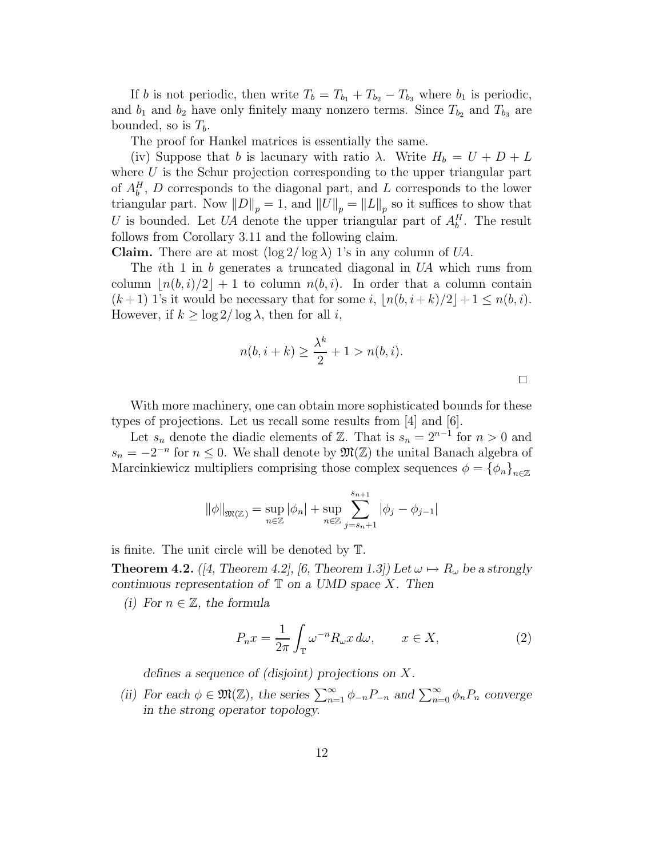If b is not periodic, then write  $T_b = T_{b_1} + T_{b_2} - T_{b_3}$  where  $b_1$  is periodic, and  $b_1$  and  $b_2$  have only finitely many nonzero terms. Since  $T_{b_2}$  and  $T_{b_3}$  are bounded, so is  $T_b$ .

The proof for Hankel matrices is essentially the same.

(iv) Suppose that b is lacunary with ratio  $\lambda$ . Write  $H_b = U + D + L$ where  $U$  is the Schur projection corresponding to the upper triangular part of  $A_h^H$ , D corresponds to the diagonal part, and L corresponds to the lower<br>triangular part. Now  $||D|| = 1$  and  $||I|| = ||I||$  so it suffices to show that triangular part. Now  $||D||_p = 1$ , and  $||U||_p = ||L||_p$  so it suffices to show that U is bounded. Let UA denote the upper triangular part of  $A_b^H$ . The result follows from Corollary 3.11 and the following elements follows from Corollary 3.11 and the following claim.

**Claim.** There are at most  $(\log 2/\log \lambda)$  1's in any column of UA.

The *i*th 1 in *b* generates a truncated diagonal in UA which runs from column  $\lfloor n(b, i)/2 \rfloor + 1$  to column  $n(b, i)$ . In order that a column contain  $(k+1)$  1's it would be necessary that for some i,  $|n(b, i+k)/2|+1 \leq n(b, i)$ . However, if  $k \geq \log 2/\log \lambda$ , then for all i,

$$
n(b, i+k) \ge \frac{\lambda^k}{2} + 1 > n(b, i).
$$

 $\Box$ 

With more machinery, one can obtain more sophisticated bounds for these types of projections. Let us recall some results from [4] and [6].

Let  $s_n$  denote the diadic elements of  $\mathbb{Z}$ . That is  $s_n = 2^{n-1}$  for  $n > 0$  and  $s_n = -2^{-n}$  for  $n \leq 0$ . We shall denote by  $\mathfrak{M}(\mathbb{Z})$  the unital Banach algebra of Marcinkiewicz multipliers comprising those complex sequences  $\phi = {\phi_n}_{n \in \mathbb{Z}}$ 

$$
\|\phi\|_{\mathfrak{M}(\mathbb{Z})} = \sup_{n \in \mathbb{Z}} |\phi_n| + \sup_{n \in \mathbb{Z}} \sum_{j=s_n+1}^{s_{n+1}} |\phi_j - \phi_{j-1}|
$$

is finite. The unit circle will be denoted by T.

**Theorem 4.2.** *([4, Theorem 4.2], [6, Theorem 1.3])* Let  $\omega \mapsto R_{\omega}$  be a strongly *continuous representation of* T *on a UMD space* X*. Then*

*(i)* For  $n \in \mathbb{Z}$ , the formula

$$
P_n x = \frac{1}{2\pi} \int_{\mathbb{T}} \omega^{-n} R_\omega x \, d\omega, \qquad x \in X,
$$
 (2)

*defines a sequence of (disjoint) projections on* X*.*

(*ii*) For each  $\phi \in \mathfrak{M}(\mathbb{Z})$ , the series  $\sum_{n=1}^{\infty} \phi_{-n}P_{-n}$  and  $\sum_{n=0}^{\infty} \phi_nP_n$  converge<br>in the strong operator topology *in the strong operator topology.*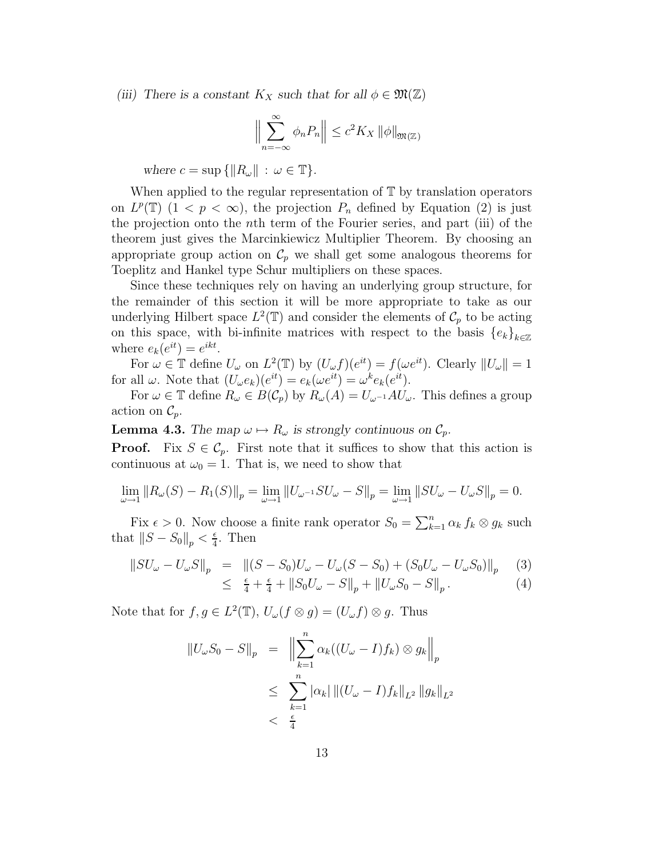*(iii)* There is a constant  $K_X$  such that for all  $\phi \in \mathfrak{M}(\mathbb{Z})$ 

$$
\Big\|\sum_{n=-\infty}^{\infty}\phi_n P_n\Big\|\leq c^2K_X\,\|\phi\|_{\mathfrak{M}(\mathbb{Z})}
$$

*where*  $c = \sup \{ ||R_{\omega}|| : \omega \in \mathbb{T} \}.$ 

When applied to the regular representation of  $\mathbb T$  by translation operators on  $L^p(\mathbb{T})$   $(1 < p < \infty)$ , the projection  $P_n$  defined by Equation (2) is just the projection onto the nth term of the Fourier series, and part (iii) of the theorem just gives the Marcinkiewicz Multiplier Theorem. By choosing an appropriate group action on  $\mathcal{C}_p$  we shall get some analogous theorems for Toeplitz and Hankel type Schur multipliers on these spaces.

Since these techniques rely on having an underlying group structure, for the remainder of this section it will be more appropriate to take as our underlying Hilbert space  $L^2(\mathbb{T})$  and consider the elements of  $\mathcal{C}_p$  to be acting on this space, with bi-infinite matrices with respect to the basis  ${e_k}_{k \in \mathbb{Z}}$ where  $e_k(e^{it}) = e^{ikt}$ .

For  $\omega \in \mathbb{T}$  define  $U_{\omega}$  on  $L^2(\mathbb{T})$  by  $(U_{\omega} f)(e^{it}) = f(\omega e^{it})$ . Clearly  $||U_{\omega}|| = 1$ for all  $\omega$ . Note that  $(U_{\omega}e_k)(e^{it}) = e_k(\omega e^{it}) = \omega^k e_k(e^{it}).$ 

For  $\omega \in \mathbb{T}$  define  $R_{\omega} \in B(\mathcal{C}_{p})$  by  $R_{\omega}(A) = U_{\omega^{-1}}AU_{\omega}$ . This defines a group action on  $\mathcal{C}_p$ .

**Lemma 4.3.** *The map*  $\omega \mapsto R_{\omega}$  *is strongly continuous on*  $\mathcal{C}_p$ *.* 

**Proof.** Fix  $S \in \mathcal{C}_p$ . First note that it suffices to show that this action is continuous at  $\omega_0 = 1$ . That is, we need to show that

$$
\lim_{\omega \to 1} ||R_{\omega}(S) - R_1(S)||_p = \lim_{\omega \to 1} ||U_{\omega^{-1}} SU_{\omega} - S||_p = \lim_{\omega \to 1} ||SU_{\omega} - U_{\omega} S||_p = 0.
$$

Fix  $\epsilon > 0$ . Now choose a finite rank operator  $S_0 = \sum_{k=1}^n \alpha_k f_k \otimes g_k$  such  $f \in S_{\epsilon} \cup S_{\epsilon}$ . that  $||S - S_0||_p < \frac{\epsilon}{4}$ . Then

$$
\|SU_{\omega} - U_{\omega}S\|_{p} = \| (S - S_{0})U_{\omega} - U_{\omega}(S - S_{0}) + (S_{0}U_{\omega} - U_{\omega}S_{0})\|_{p} \quad (3)
$$
  

$$
\leq \frac{\epsilon}{4} + \frac{\epsilon}{4} + \|S_{0}U_{\omega} - S\|_{p} + \|U_{\omega}S_{0} - S\|_{p}. \quad (4)
$$

Note that for  $f, g \in L^2(\mathbb{T}), U_\omega(f \otimes g) = (U_\omega f) \otimes g$ . Thus

$$
||U_{\omega}S_{0} - S||_{p} = \left\|\sum_{k=1}^{n} \alpha_{k}((U_{\omega} - I)f_{k}) \otimes g_{k}\right\|_{p}
$$
  

$$
\leq \sum_{k=1}^{n} |\alpha_{k}| ||(U_{\omega} - I)f_{k}||_{L^{2}} ||g_{k}||_{L^{2}}
$$
  

$$
< \frac{\epsilon}{4}
$$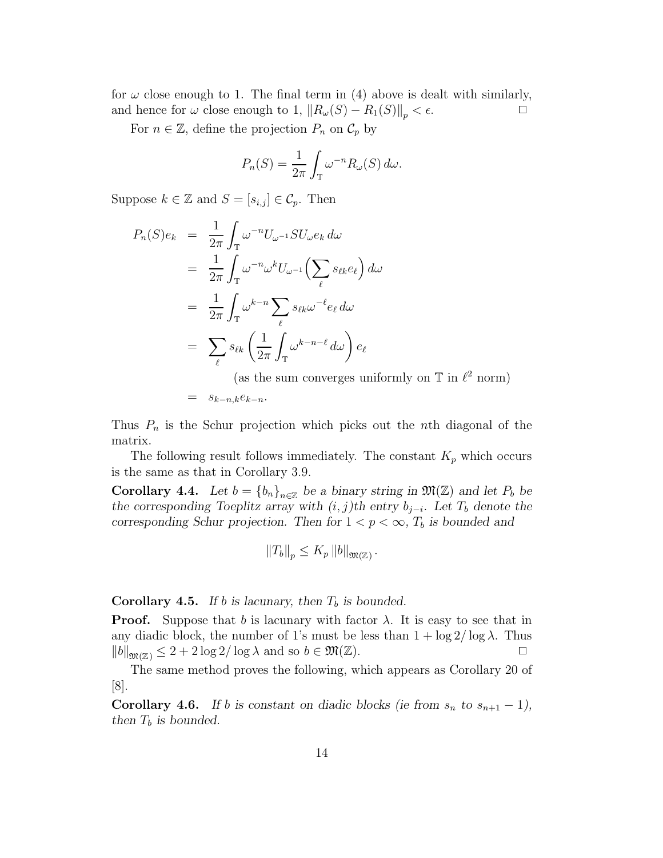for  $\omega$  close enough to 1. The final term in (4) above is dealt with similarly, and hence for  $\omega$  close enough to 1,  $||R_{\omega}(S) - R_1(S)||_{p} < \epsilon$ . . — Первый профессиональный профессиональный профессиональный профессиональный профессиональный профессиональн<br>При последний профессиональный профессиональный профессиональный профессиональный профессиональный профессиона

For  $n \in \mathbb{Z}$ , define the projection  $P_n$  on  $\mathcal{C}_p$  by

$$
P_n(S) = \frac{1}{2\pi} \int_{\mathbb{T}} \omega^{-n} R_{\omega}(S) d\omega.
$$

Suppose  $k \in \mathbb{Z}$  and  $S = [s_{i,j}] \in \mathcal{C}_p$ . Then

$$
P_n(S)e_k = \frac{1}{2\pi} \int_{\mathbb{T}} \omega^{-n} U_{\omega^{-1}} S U_{\omega} e_k d\omega
$$
  

$$
= \frac{1}{2\pi} \int_{\mathbb{T}} \omega^{-n} \omega^k U_{\omega^{-1}} \left( \sum_{\ell} s_{\ell k} e_{\ell} \right) d\omega
$$
  

$$
= \frac{1}{2\pi} \int_{\mathbb{T}} \omega^{k-n} \sum_{\ell} s_{\ell k} \omega^{-\ell} e_{\ell} d\omega
$$
  

$$
= \sum_{\ell} s_{\ell k} \left( \frac{1}{2\pi} \int_{\mathbb{T}} \omega^{k-n-\ell} d\omega \right) e_{\ell}
$$

(as the sum converges uniformly on  $\mathbb T$  in  $\ell^2$  norm)

$$
= \ \ s_{k-n,k} e_{k-n}.
$$

Thus  $P_n$  is the Schur projection which picks out the nth diagonal of the matrix.

The following result follows immediately. The constant  $K_p$  which occurs is the same as that in Corollary 3.9.

**Corollary 4.4.** *Let*  $b = \{b_n\}_{n \in \mathbb{Z}}$  *be a binary string in*  $\mathfrak{M}(\mathbb{Z})$  *and let*  $P_b$  *be the corresponding Toeplitz array with*  $(i, j)$ *th entry*  $b_{j-i}$ *. Let*  $T_b$  *denote the corresponding Schur projection. Then for*  $1 < p < \infty$ *, T<sub>b</sub> is bounded and* 

$$
||T_b||_p \leq K_p ||b||_{\mathfrak{M}(\mathbb{Z})}.
$$

### **Corollary 4.5.** If b is lacunary, then  $T_b$  is bounded.

**Proof.** Suppose that b is lacunary with factor  $\lambda$ . It is easy to see that in any diadic block, the number of 1's must be less than  $1 + \log 2/\log \lambda$ . Thus  $||b||_{\mathfrak{M}(\mathbb{Z})} \leq 2 + 2 \log 2/\log \lambda$  and so  $b \in \mathfrak{M}(\mathbb{Z})$ .

The same method proves the following, which appears as Corollary 20 of [8].

**Corollary 4.6.** *If b* is constant on diadic blocks (ie from  $s_n$  to  $s_{n+1} - 1$ ), *then*  $T_b$  *is bounded.*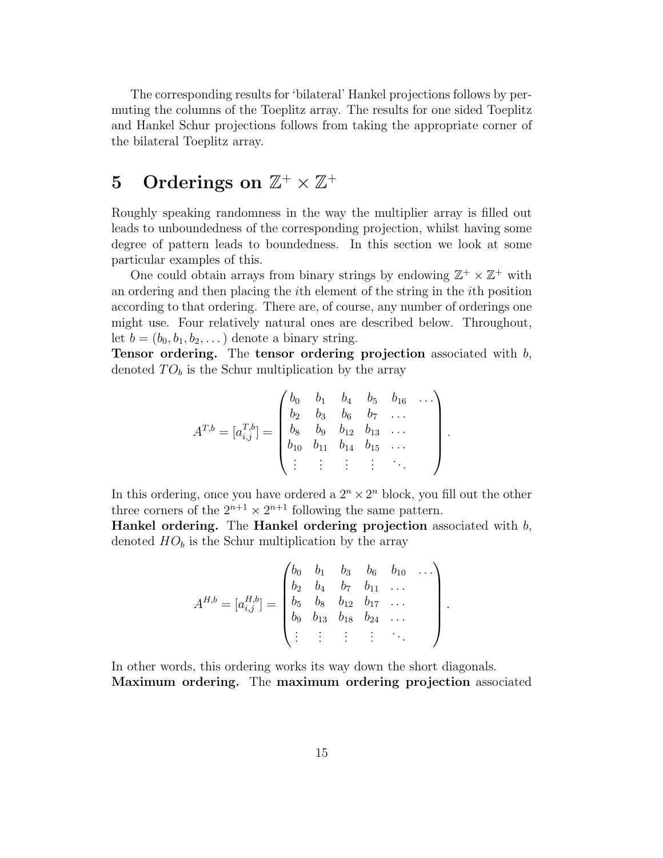The corresponding results for 'bilateral' Hankel projections follows by permuting the columns of the Toeplitz array. The results for one sided Toeplitz and Hankel Schur projections follows from taking the appropriate corner of the bilateral Toeplitz array.

## **5** Orderings on  $\mathbb{Z}^+ \times \mathbb{Z}^+$

Roughly speaking randomness in the way the multiplier array is filled out leads to unboundedness of the corresponding projection, whilst having some degree of pattern leads to boundedness. In this section we look at some particular examples of this.

One could obtain arrays from binary strings by endowing  $\mathbb{Z}^+ \times \mathbb{Z}^+$  with an ordering and then placing the ith element of the string in the ith position according to that ordering. There are, of course, any number of orderings one might use. Four relatively natural ones are described below. Throughout, let  $b = (b_0, b_1, b_2, \dots)$  denote a binary string.

**Tensor ordering.** The **tensor ordering projection** associated with b, denoted  $TO<sub>b</sub>$  is the Schur multiplication by the array

$$
A^{T,b} = [a_{i,j}^{T,b}] = \begin{pmatrix} b_0 & b_1 & b_4 & b_5 & b_{16} & \dots \\ b_2 & b_3 & b_6 & b_7 & \dots \\ b_8 & b_9 & b_{12} & b_{13} & \dots \\ b_{10} & b_{11} & b_{14} & b_{15} & \dots \\ \vdots & \vdots & \vdots & \vdots & \ddots \end{pmatrix}
$$

.

.

In this ordering, once you have ordered a  $2^n \times 2^n$  block, you fill out the other three corners of the  $2^{n+1} \times 2^{n+1}$  following the same pattern.

**Hankel ordering.** The **Hankel ordering projection** associated with b, denoted  $HO<sub>b</sub>$  is the Schur multiplication by the array

$$
A^{H,b} = [a_{i,j}^{H,b}] = \begin{pmatrix} b_0 & b_1 & b_3 & b_6 & b_{10} & \cdots \\ b_2 & b_4 & b_7 & b_{11} & \cdots \\ b_5 & b_8 & b_{12} & b_{17} & \cdots \\ b_9 & b_{13} & b_{18} & b_{24} & \cdots \\ \vdots & \vdots & \vdots & \vdots & \ddots \end{pmatrix}
$$

In other words, this ordering works its way down the short diagonals. **Maximum ordering.** The **maximum ordering projection** associated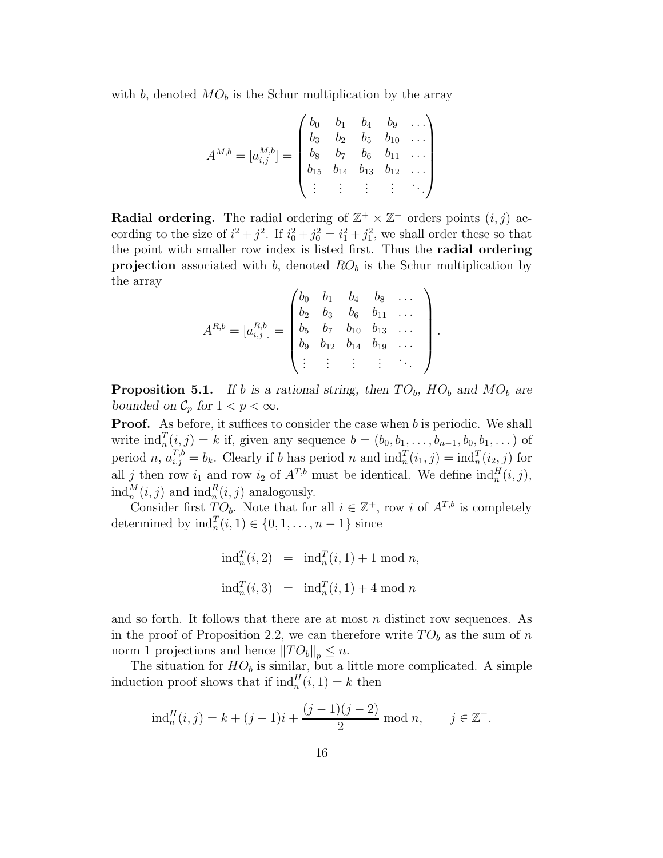with b, denoted  $MO<sub>b</sub>$  is the Schur multiplication by the array

$$
A^{M,b} = [a_{i,j}^{M,b}] = \begin{pmatrix} b_0 & b_1 & b_4 & b_9 & \dots \\ b_3 & b_2 & b_5 & b_{10} & \dots \\ b_8 & b_7 & b_6 & b_{11} & \dots \\ b_{15} & b_{14} & b_{13} & b_{12} & \dots \\ \vdots & \vdots & \vdots & \vdots & \ddots \end{pmatrix}
$$

**Radial ordering.** The radial ordering of  $\mathbb{Z}^+ \times \mathbb{Z}^+$  orders points  $(i, j)$  according to the size of  $i^2 + j^2$ . If  $i_0^2 + j_0^2 = i_1^2 + j_1^2$ , we shall order these so that the point with smaller row index is listed first. Thus the **radial ordering projection** associated with b, denoted  $RO<sub>b</sub>$  is the Schur multiplication by the array

$$
A^{R,b} = [a_{i,j}^{R,b}] = \begin{pmatrix} b_0 & b_1 & b_4 & b_8 & \dots \\ b_2 & b_3 & b_6 & b_{11} & \dots \\ b_5 & b_7 & b_{10} & b_{13} & \dots \\ b_9 & b_{12} & b_{14} & b_{19} & \dots \\ \vdots & \vdots & \vdots & \vdots & \ddots \end{pmatrix}.
$$

**Proposition 5.1.** If b is a rational string, then  $TO_b$ ,  $HO_b$  and  $MO_b$  are *bounded on*  $C_p$  *for*  $1 < p < \infty$ *.* 

**Proof.** As before, it suffices to consider the case when b is periodic. We shall write  $\text{ind}_n^T(i,j) = k$  if, given any sequence  $b = (b_0, b_1, \ldots, b_{n-1}, b_0, b_1, \ldots)$  of period n,  $a_{i,j}^{T,0} = b_k$ . Clearly if b has period n and  $\text{ind}_n^T(i_1,j) = \text{ind}_n^T(i_2,j)$  for all j then row  $i_1$  and row  $i_2$  of  $A^{T,b}$  must be identical. We define  $\text{ind}_n^H(i, j)$ ,  $\text{ind}_n^M(i,j)$  and  $\text{ind}_n^R(i,j)$  analogously.  $\binom{M}{n}(i,j)$  and  $\text{ind}_n^R(i,j)$  analogously.<br>Consider first  $TO$ . Note that for

Consider first  $TO_b$ . Note that for all  $i \in \mathbb{Z}^+$ , row  $i$  of  $A^{T,b}$  is completely determined by  $\text{ind}_n^T(i, 1) \in \{0, 1, ..., n-1\}$  since

$$
\text{ind}_n^T(i,2) = \text{ind}_n^T(i,1) + 1 \text{ mod } n,
$$
  

$$
\text{ind}_n^T(i,3) = \text{ind}_n^T(i,1) + 4 \text{ mod } n
$$

and so forth. It follows that there are at most  $n$  distinct row sequences. As in the proof of Proposition 2.2, we can therefore write  $TO<sub>b</sub>$  as the sum of n norm 1 projections and hence  $||TO_b||_p \leq n$ .

The situation for  $HO<sub>b</sub>$  is similar, but a little more complicated. A simple induction proof shows that if  $\text{ind}_n^H(i, 1) = k$  then

$$
\text{ind}_n^H(i,j) = k + (j-1)i + \frac{(j-1)(j-2)}{2} \text{ mod } n, \qquad j \in \mathbb{Z}^+.
$$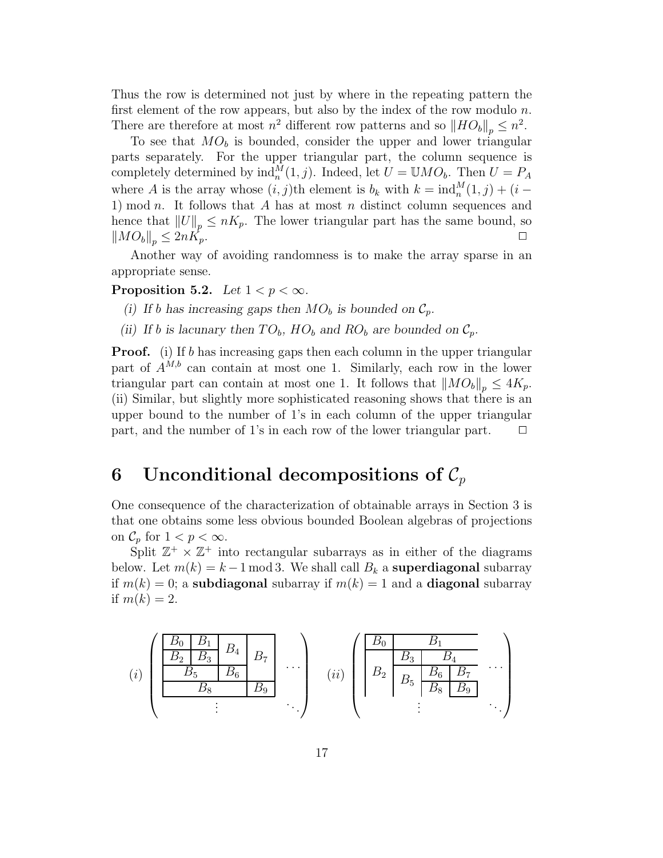Thus the row is determined not just by where in the repeating pattern the first element of the row appears, but also by the index of the row modulo  $n$ . There are therefore at most  $n^2$  different row patterns and so  $||HO_b||_p \leq n^2$ .

To see that  $MO<sub>b</sub>$  is bounded, consider the upper and lower triangular parts separately. For the upper triangular part, the column sequence is completely determined by  $ind_n^M(1, j)$ . Indeed, let  $U = \mathbb{U}MO_b$ . Then  $U = P_A$ where A is the array whose  $(i, j)$ th element is  $b_k$  with  $k = \text{ind}_{n}^{M}(1, j) + (i - 1)$  mod  $n$ . It follows that A has at most  $n$  distinct solumn socurriess and 1) mod *n*. It follows that A has at most n distinct column sequences and hence that  $||U||_p \leq nK_p$ . The lower triangular part has the same bound, so  $||MO||_p \leq 2nK$  $\|MO_b\|_p \leq 2nK_p.$ 

Another way of avoiding randomness is to make the array sparse in an appropriate sense.

### **Proposition 5.2.** *Let*  $1 < p < \infty$ *.*

- *(i)* If b has increasing gaps then  $MO_b$  is bounded on  $\mathcal{C}_p$ .
- *(ii)* If b is lacunary then  $TO_b$ ,  $HO_b$  and  $RO_b$  are bounded on  $C_p$ .

**Proof.** (i) If b has increasing gaps then each column in the upper triangular part of  $A^{M,b}$  can contain at most one 1. Similarly, each row in the lower triangular part can contain at most one 1. It follows that  $||MO_b||_p \leq 4K_p$ . (ii) Similar, but slightly more sophisticated reasoning shows that there is an upper bound to the number of 1's in each column of the upper triangular part, and the number of 1's in each row of the lower triangular part.  $\Box$ 

## **6** Unconditional decompositions of  $\mathcal{C}_p$

One consequence of the characterization of obtainable arrays in Section 3 is that one obtains some less obvious bounded Boolean algebras of projections on  $\mathcal{C}_p$  for  $1 < p < \infty$ .

Split  $\mathbb{Z}^+ \times \mathbb{Z}^+$  into rectangular subarrays as in either of the diagrams below. Let  $m(k) = k - 1 \mod 3$ . We shall call  $B_k$  a **superdiagonal** subarray if  $m(k) = 0$ ; a **subdiagonal** subarray if  $m(k) = 1$  and a **diagonal** subarray if  $m(k) = 2$ .

$$
(i) \left( \begin{array}{cc|cc} B_0 & B_1 & B_4 & B_7 \ \hline B_2 & B_3 & B_6 & \cdots \ B_8 & B_9 & \cdots \ \hline \vdots & \ddots & \ddots \end{array} \right) \quad (ii) \left( \begin{array}{cc|cc} B_0 & B_1 & \cdots \ B_2 & B_3 & B_4 & \cdots \ B_2 & B_5 & B_6 & B_7 \ \hline B_8 & B_9 & \cdots \ \vdots & \ddots & \ddots \end{array} \right)
$$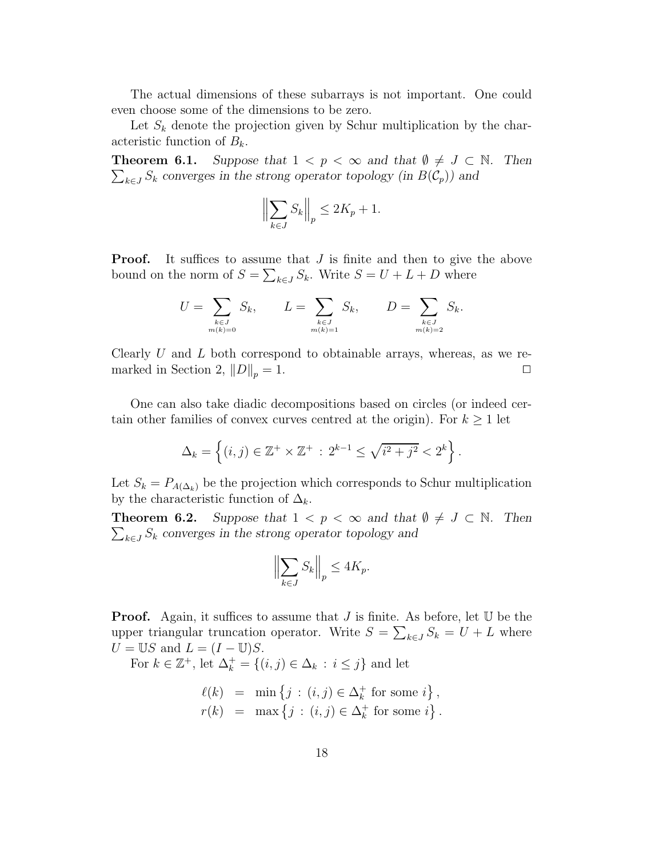The actual dimensions of these subarrays is not important. One could even choose some of the dimensions to be zero.

Let  $S_k$  denote the projection given by Schur multiplication by the characteristic function of  $B_k$ .

**Theorem 6.1.** Suppose that  $1 < p < \infty$  and that  $\emptyset \neq J \subset \mathbb{N}$ . Then  $\sum_{k\in J} S_k$  converges in the strong operator topology (in  $B(\mathcal{C}_p)$ ) and

$$
\left\| \sum_{k \in J} S_k \right\|_p \le 2K_p + 1.
$$

**Proof.** It suffices to assume that J is finite and then to give the above bound on the norm of  $S = \sum_{k \in J} S_k$ . Write  $S = U + L + D$  where

$$
U = \sum_{\substack{k \in J \\ m(k)=0}} S_k, \qquad L = \sum_{\substack{k \in J \\ m(k)=1}} S_k, \qquad D = \sum_{\substack{k \in J \\ m(k)=2}} S_k.
$$

Clearly  $U$  and  $L$  both correspond to obtainable arrays, whereas, as we remarked in Section 2,  $||D||_p = 1$ .  $_p = 1.$ 

One can also take diadic decompositions based on circles (or indeed certain other families of convex curves centred at the origin). For  $k \geq 1$  let

$$
\Delta_k = \left\{ (i,j) \in \mathbb{Z}^+ \times \mathbb{Z}^+ : 2^{k-1} \le \sqrt{i^2 + j^2} < 2^k \right\}.
$$

Let  $S_k = P_{A(\Delta_k)}$  be the projection which corresponds to Schur multiplication by the characteristic function of  $\Delta_k$ .

**Theorem 6.2.** Suppose that  $1 < p < \infty$  and that  $\emptyset \neq J \subset \mathbb{N}$ . Then  $\sum_{k\in J} S_k$  converges in the strong operator topology and

$$
\left\| \sum_{k \in J} S_k \right\|_p \le 4K_p.
$$

**Proof.** Again, it suffices to assume that  $J$  is finite. As before, let  $\mathbb{U}$  be the upper triangular truncation operator. Write  $S = \sum_{k \in J} S_k = U + L$  where  $U = \mathbb{I} S$  and  $I = (I - \mathbb{I} S)$  $U = \mathbb{U}S$  and  $L = (I - \mathbb{U})S$ .

For  $k \in \mathbb{Z}^+$ , let  $\Delta_k^+ = \{(i, j) \in \Delta_k : i \leq j\}$  and let

$$
\ell(k) = \min \{ j : (i, j) \in \Delta_k^+ \text{ for some } i \},
$$
  

$$
r(k) = \max \{ j : (i, j) \in \Delta_k^+ \text{ for some } i \}.
$$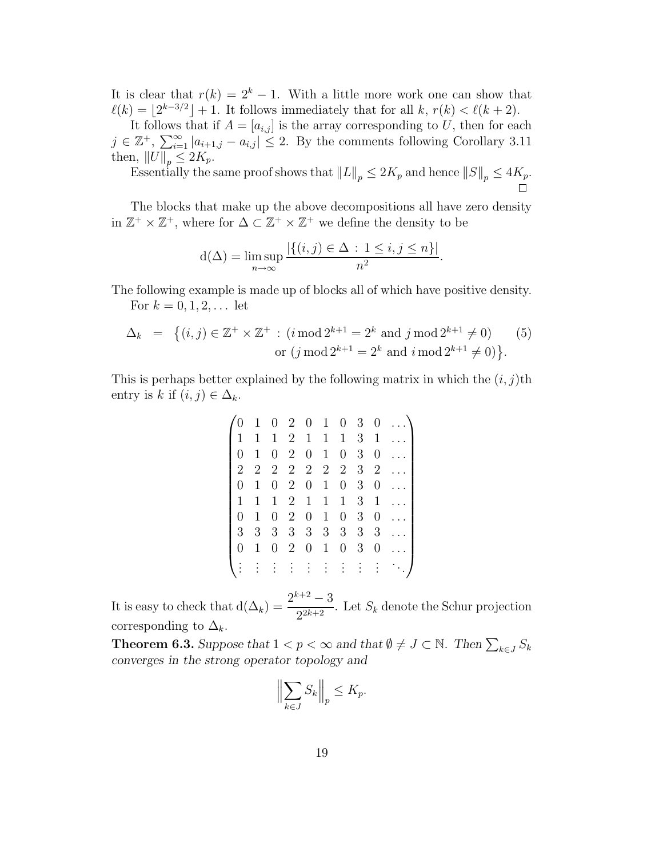It is clear that  $r(k)=2^k - 1$ . With a little more work one can show that  $\ell(k) = \lfloor 2^{k-3/2} \rfloor + 1$ . It follows immediately that for all  $k, r(k) < \ell(k+2)$ .

It follows that if  $A = [a_{i,j}]$  is the array corresponding to U, then for each  $j \in \mathbb{Z}^+, \sum_{i=1}^{\infty} |a_{i+1,j} - a_{i,j}| \leq 2$ . By the comments following Corollary 3.11 then  $||IJ|| \leq 2K$ then,  $||U||_p \leq 2K_p$ .<br>Fesontially the

Essentially the same proof shows that  $||L||_p \leq 2K_p$  and hence  $||S||_p \leq 4K_p$ .

The blocks that make up the above decompositions all have zero density in  $\mathbb{Z}^+ \times \mathbb{Z}^+,$  where for  $\Delta \subset \mathbb{Z}^+ \times \mathbb{Z}^+$  we define the density to be

$$
d(\Delta) = \limsup_{n \to \infty} \frac{|\{(i, j) \in \Delta : 1 \le i, j \le n\}|}{n^2}.
$$

The following example is made up of blocks all of which have positive density. For  $k = 0, 1, 2, ...$  let

$$
\Delta_k = \{(i, j) \in \mathbb{Z}^+ \times \mathbb{Z}^+ : (i \mod 2^{k+1} = 2^k \text{ and } j \mod 2^{k+1} \neq 0) \text{ or } (j \mod 2^{k+1} = 2^k \text{ and } i \mod 2^{k+1} \neq 0)\}.
$$
 (5)

This is perhaps better explained by the following matrix in which the  $(i, j)$ th entry is k if  $(i, j) \in \Delta_k$ .

| $\overline{0}$   |                                  |                  |  |         |                | $1 \t0 \t2 \t0 \t1 \t0 \t3 \t0 \t$ |
|------------------|----------------------------------|------------------|--|---------|----------------|------------------------------------|
|                  | $1 \quad 1 \quad 1$              |                  |  | 2 1 1 1 |                | $3 \quad 1 \quad \ldots$           |
| $\overline{0}$   | $\mathbf{1}$                     | $0 \t2 \t0 \t1$  |  |         |                | $0 \quad 3 \quad 0 \quad \dots$    |
|                  |                                  |                  |  |         |                | $2$ 2 2 2 2 2 2 3 2                |
| $\overline{0}$   | $\begin{array}{c} 1 \end{array}$ | $0 \t2 \t0 \t1$  |  |         |                | $0 \quad 3 \quad 0 \quad \ldots$   |
|                  |                                  | 1 1 1 2 1 1 1    |  |         |                | $3 \quad 1 \quad \ldots$           |
| $\boldsymbol{0}$ | $\begin{array}{c} 1 \end{array}$ | $0 \t2 \t0 \t1$  |  |         |                | $0 \quad 3 \quad 0 \quad \dots$    |
|                  | $3 \quad 3 \quad 3$              |                  |  |         |                | $3 \t3 \t3 \t3 \t3 \t3 \t$         |
|                  | $0\quad1$                        | $0 \t2 \t0 \t1$  |  |         | 0 <sup>3</sup> | $0 \ldots$                         |
| $\frac{1}{2}$    |                                  | <b>EREE EREE</b> |  |         |                |                                    |

It is easy to check that  $d(\Delta_k) = \frac{2^{k+2} - 3}{2^{2k+2}}$ . Let  $S_k$  denote the Schur projection corresponding to  $\Delta_k$ .

**Theorem 6.3.** Suppose that  $1 < p < \infty$  and that  $\emptyset \neq J \subset \mathbb{N}$ . Then  $\sum_{k \in J} S_k$ *converges in the strong operator topology and*

$$
\left\| \sum_{k \in J} S_k \right\|_p \le K_p.
$$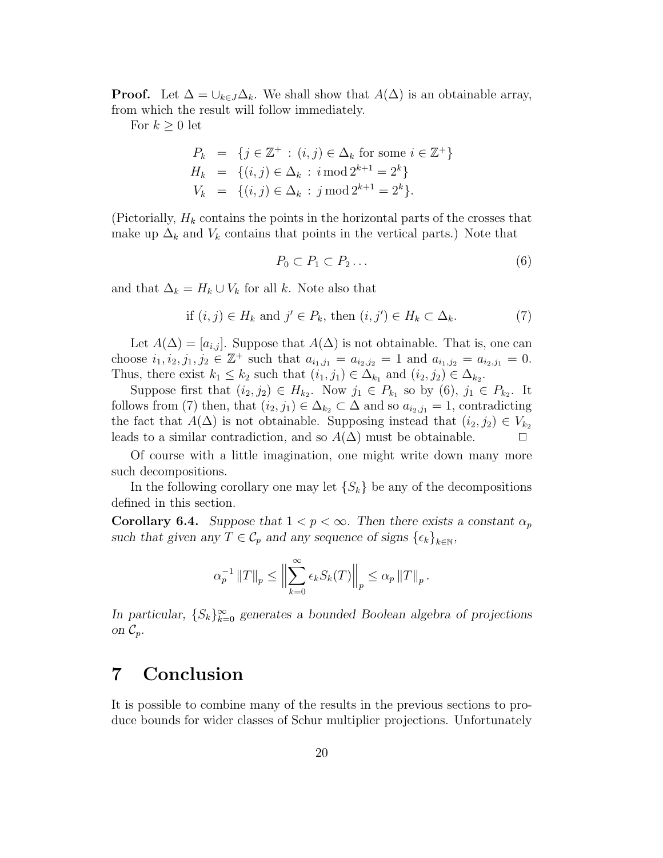**Proof.** Let  $\Delta = \bigcup_{k \in J} \Delta_k$ . We shall show that  $A(\Delta)$  is an obtainable array, from which the result will follow immediately.

For  $k \geq 0$  let

$$
P_k = \{ j \in \mathbb{Z}^+ : (i, j) \in \Delta_k \text{ for some } i \in \mathbb{Z}^+ \}
$$
  
\n
$$
H_k = \{ (i, j) \in \Delta_k : i \mod 2^{k+1} = 2^k \}
$$
  
\n
$$
V_k = \{ (i, j) \in \Delta_k : j \mod 2^{k+1} = 2^k \}.
$$

(Pictorially,  $H_k$  contains the points in the horizontal parts of the crosses that make up  $\Delta_k$  and  $V_k$  contains that points in the vertical parts.) Note that

$$
P_0 \subset P_1 \subset P_2 \dots \tag{6}
$$

and that  $\Delta_k = H_k \cup V_k$  for all k. Note also that

if 
$$
(i, j) \in H_k
$$
 and  $j' \in P_k$ , then  $(i, j') \in H_k \subset \Delta_k$ . (7)

Let  $A(\Delta) = [a_{i,j}]$ . Suppose that  $A(\Delta)$  is not obtainable. That is, one can choose  $i_1, i_2, j_1, j_2 \in \mathbb{Z}^+$  such that  $a_{i_1, j_1} = a_{i_2, j_2} = 1$  and  $a_{i_1, j_2} = a_{i_2, j_1} = 0$ . Thus, there exist  $k_1 \leq k_2$  such that  $(i_1, j_1) \in \Delta_{k_1}$  and  $(i_2, j_2) \in \Delta_{k_2}$ .

Suppose first that  $(i_2, j_2) \in H_{k_2}$ . Now  $j_1 \in P_{k_1}$  so by  $(6), j_1 \in P_{k_2}$ . It follows from (7) then, that  $(i_2, j_1) \in \Delta_{k_2} \subset \Delta$  and so  $a_{i_2, j_1} = 1$ , contradicting the fact that  $A(\Delta)$  is not obtainable. Supposing instead that  $(i_2, j_2) \in V_{k_2}$ <br>leads to a similar contradiction, and so  $A(\Delta)$  must be obtainable. leads to a similar contradiction, and so  $A(\Delta)$  must be obtainable.

Of course with a little imagination, one might write down many more such decompositions.

In the following corollary one may let  $\{S_k\}$  be any of the decompositions defined in this section.

**Corollary 6.4.** *Suppose that*  $1 < p < \infty$ *. Then there exists a constant*  $\alpha_p$ *such that given any*  $T \in \mathcal{C}_p$  *and any sequence of signs*  $\{\epsilon_k\}_{k \in \mathbb{N}}$ *,* 

$$
\alpha_p^{-1} ||T||_p \le ||\sum_{k=0}^{\infty} \epsilon_k S_k(T)||_p \le \alpha_p ||T||_p.
$$

*In particular,*  ${S_k}_{k=0}^{\infty}$  *generates a bounded Boolean algebra of projections on*  $\mathcal{C}_p$ *.* 

## **7 Conclusion**

It is possible to combine many of the results in the previous sections to produce bounds for wider classes of Schur multiplier projections. Unfortunately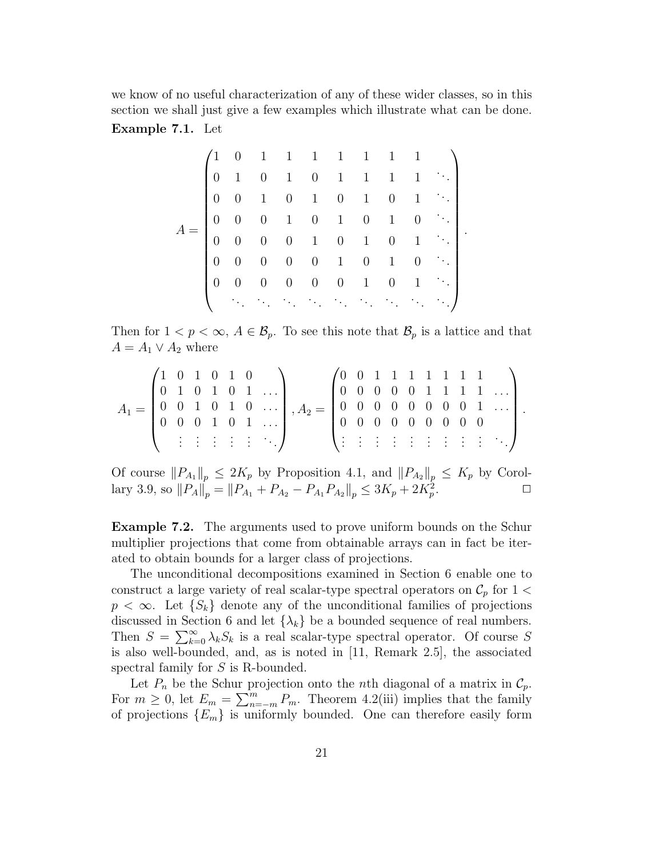we know of no useful characterization of any of these wider classes, so in this section we shall just give a few examples which illustrate what can be done.

### **Example 7.1.** Let

A = 10 1 1 1 1 1 1 1 01 0 1 0 1 1 1 1 ... 00 1 0 1 0 1 0 1 ... 00 0 1 0 1 0 1 0 ... 00 0 0 1 0 1 0 1 ... 00 0 0 0 1 0 1 0 ... 00 0 0 0 0 1 0 1 ... ... ... ... ... ... ... ... ... ... .

Then for  $1 < p < \infty$ ,  $A \in \mathcal{B}_p$ . To see this note that  $\mathcal{B}_p$  is a lattice and that  $A = A_1 \vee A_2$  where

$$
A_1 = \begin{pmatrix} 1 & 0 & 1 & 0 & 1 & 0 \\ 0 & 1 & 0 & 1 & 0 & 1 & \dots \\ 0 & 0 & 1 & 0 & 1 & 0 & \dots \\ 0 & 0 & 0 & 1 & 0 & 1 & \dots \\ \vdots & \vdots & \vdots & \vdots & \vdots & \vdots & \ddots \end{pmatrix}, A_2 = \begin{pmatrix} 0 & 0 & 1 & 1 & 1 & 1 & 1 & 1 & 1 \\ 0 & 0 & 0 & 0 & 0 & 1 & 1 & 1 & 1 \\ 0 & 0 & 0 & 0 & 0 & 0 & 0 & 1 & \dots \\ 0 & 0 & 0 & 0 & 0 & 0 & 0 & 0 \\ \vdots & \vdots & \vdots & \vdots & \vdots & \vdots & \vdots & \vdots & \vdots \end{pmatrix}.
$$

Of course  $||P_{A_1}||_p \le 2K_p$  by Proposition 4.1, and  $||P_{A_2}||_p \le K_p$  by Corol-<br>lary 3.9, so  $||P_A|| = ||P_{A_1} + P_{A_2} - P_{A_3}P_{A_3}|| < 3K_n + 2K_n^2$ . lary 3.9, so  $||P_A||_p = ||P_{A_1} + P_{A_2} - P_{A_1}P_{A_2}||_p \leq 3K_p + 2K_p^2$ .  $\mathbb{Z}_p^2$ .

**Example 7.2.** The arguments used to prove uniform bounds on the Schur multiplier projections that come from obtainable arrays can in fact be iterated to obtain bounds for a larger class of projections.

The unconditional decompositions examined in Section 6 enable one to construct a large variety of real scalar-type spectral operators on  $\mathcal{C}_p$  for  $1 <$  $p < \infty$ . Let  $\{S_k\}$  denote any of the unconditional families of projections discussed in Section 6 and let  $\{\lambda_k\}$  be a bounded sequence of real numbers. Then  $S = \sum_{k=0}^{\infty} \lambda_k S_k$  is a real scalar-type spectral operator. Of course S<br>is also well bounded, and as is noted in [11. Bowark 2.5], the associated is also well-bounded, and, as is noted in [11, Remark 2.5], the associated spectral family for S is R-bounded.

Let  $P_n$  be the Schur projection onto the nth diagonal of a matrix in  $\mathcal{C}_p$ . For  $m \geq 0$ , let  $E_m = \sum_{n=-m}^{m} P_m$ . Theorem 4.2(iii) implies that the family of projections  $\{F_n\}$  is uniformly bounded. One can therefore easily form of projections  ${E_m}$  is uniformly bounded. One can therefore easily form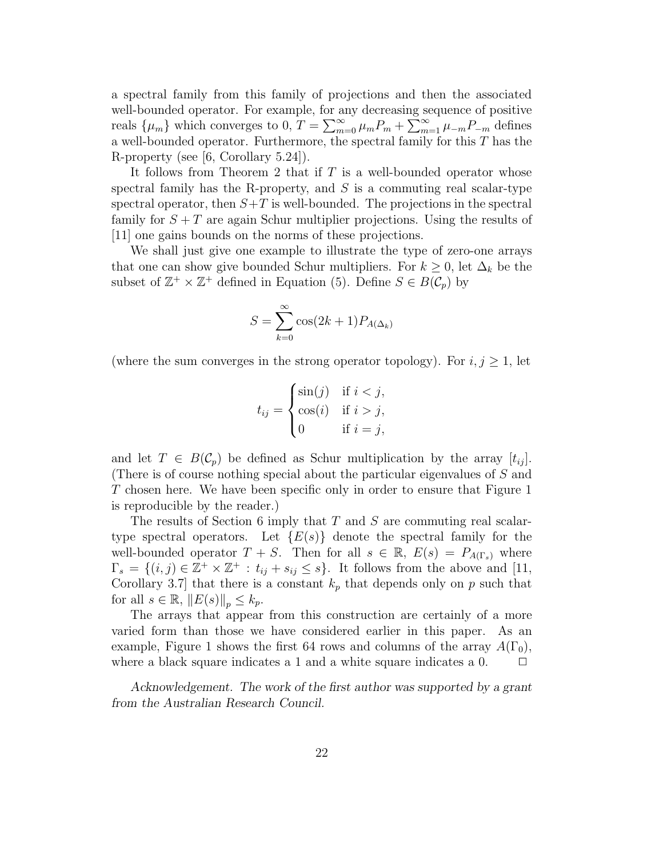a spectral family from this family of projections and then the associated well-bounded operator. For example, for any decreasing sequence of positive reals  $\{\mu_m\}$  which converges to  $0, T = \sum_{m=0}^{\infty} \mu_m P_m + \sum_{m=1}^{\infty} \mu_m P_m$  defines a well-bounded operator. Furthermore, the spectral family for this T has the R-property (see [6, Corollary 5.24]).

It follows from Theorem 2 that if  $T$  is a well-bounded operator whose spectral family has the R-property, and  $S$  is a commuting real scalar-type spectral operator, then  $S+T$  is well-bounded. The projections in the spectral family for  $S + T$  are again Schur multiplier projections. Using the results of [11] one gains bounds on the norms of these projections.

We shall just give one example to illustrate the type of zero-one arrays that one can show give bounded Schur multipliers. For  $k \geq 0$ , let  $\Delta_k$  be the subset of  $\mathbb{Z}^+ \times \mathbb{Z}^+$  defined in Equation (5). Define  $S \in B(\mathcal{C}_p)$  by

$$
S = \sum_{k=0}^{\infty} \cos(2k+1) P_{A(\Delta_k)}
$$

(where the sum converges in the strong operator topology). For  $i, j \geq 1$ , let

$$
t_{ij} = \begin{cases} \sin(j) & \text{if } i < j, \\ \cos(i) & \text{if } i > j, \\ 0 & \text{if } i = j, \end{cases}
$$

and let  $T \in B(\mathcal{C}_p)$  be defined as Schur multiplication by the array  $[t_{ij}]$ . (There is of course nothing special about the particular eigenvalues of S and T chosen here. We have been specific only in order to ensure that Figure 1 is reproducible by the reader.)

The results of Section 6 imply that  $T$  and  $S$  are commuting real scalartype spectral operators. Let  ${E(s)}$  denote the spectral family for the well-bounded operator  $T + S$ . Then for all  $s \in \mathbb{R}$ ,  $E(s) = P_{A(\Gamma_s)}$  where  $\Gamma_s = \{(i, j) \in \mathbb{Z}^+ \times \mathbb{Z}^+ : t_{ij} + s_{ij} \leq s\}$ . It follows from the above and [11, Corollary 3.7] that there is a constant  $k_p$  that depends only on p such that for all  $s \in \mathbb{R}$ ,  $||E(s)||_p \leq k_p$ .<br>The grave that appear

The arrays that appear from this construction are certainly of a more varied form than those we have considered earlier in this paper. As an example, Figure 1 shows the first 64 rows and columns of the array  $A(\Gamma_0)$ , where a black square indicates a 1 and a white square indicates a 0.  $\Box$ 

*Acknowledgement. The work of the first author was supported by a grant from the Australian Research Council.*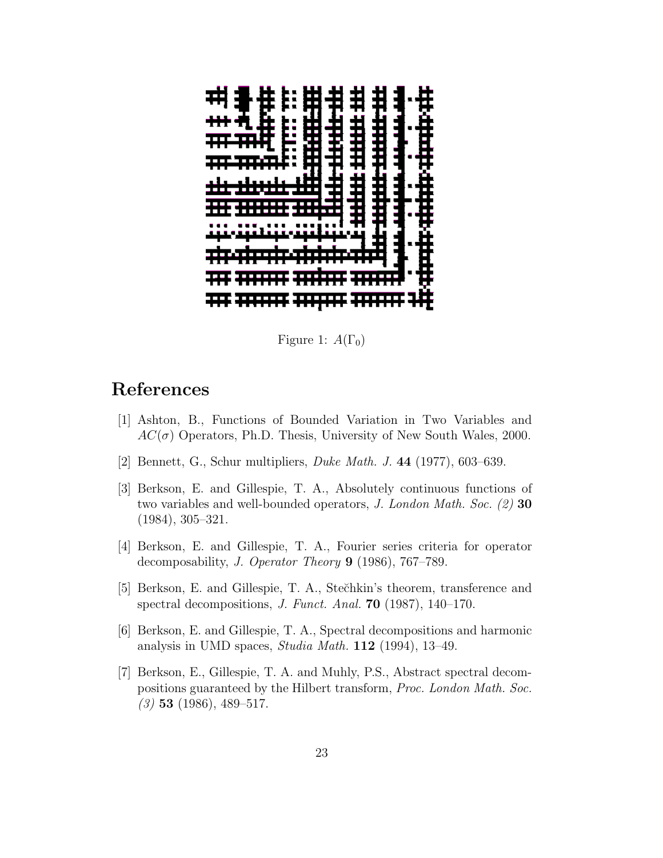

Figure 1:  $A(\Gamma_0)$ 

## **References**

- [1] Ashton, B., Functions of Bounded Variation in Two Variables and  $AC(\sigma)$  Operators, Ph.D. Thesis, University of New South Wales, 2000.
- [2] Bennett, G., Schur multipliers, *Duke Math. J.* **44** (1977), 603–639.
- [3] Berkson, E. and Gillespie, T. A., Absolutely continuous functions of two variables and well-bounded operators, *J. London Math. Soc. (2)* **30** (1984), 305–321.
- [4] Berkson, E. and Gillespie, T. A., Fourier series criteria for operator decomposability, *J. Operator Theory* **9** (1986), 767–789.
- [5] Berkson, E. and Gillespie, T. A., Stečhkin's theorem, transference and spectral decompositions, *J. Funct. Anal.* **70** (1987), 140–170.
- [6] Berkson, E. and Gillespie, T. A., Spectral decompositions and harmonic analysis in UMD spaces, *Studia Math.* **112** (1994), 13–49.
- [7] Berkson, E., Gillespie, T. A. and Muhly, P.S., Abstract spectral decompositions guaranteed by the Hilbert transform, *Proc. London Math. Soc. (3)* **53** (1986), 489–517.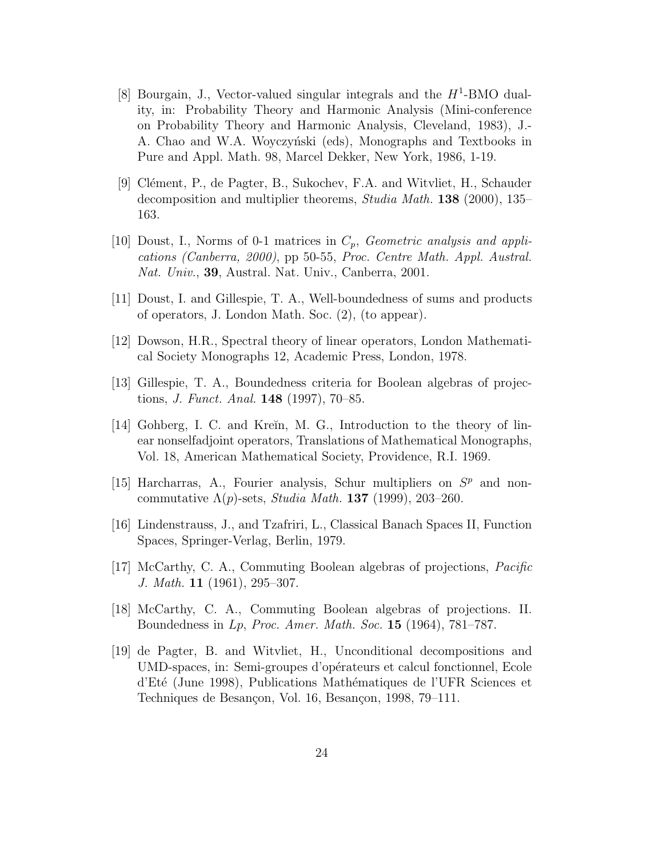- [8] Bourgain, J., Vector-valued singular integrals and the  $H<sup>1</sup>$ -BMO duality, in: Probability Theory and Harmonic Analysis (Mini-conference on Probability Theory and Harmonic Analysis, Cleveland, 1983), J.- A. Chao and W.A. Woyczyński (eds), Monographs and Textbooks in Pure and Appl. Math. 98, Marcel Dekker, New York, 1986, 1-19.
- [9] Clément, P., de Pagter, B., Sukochev, F.A. and Witvliet, H., Schauder decomposition and multiplier theorems, *Studia Math.* **138** (2000), 135– 163.
- [10] Doust, I., Norms of 0-1 matrices in <sup>C</sup>p, *Geometric analysis and applications (Canberra, 2000)*, pp 50-55, *Proc. Centre Math. Appl. Austral. Nat. Univ.*, **39**, Austral. Nat. Univ., Canberra, 2001.
- [11] Doust, I. and Gillespie, T. A., Well-boundedness of sums and products of operators, J. London Math. Soc. (2), (to appear).
- [12] Dowson, H.R., Spectral theory of linear operators, London Mathematical Society Monographs 12, Academic Press, London, 1978.
- [13] Gillespie, T. A., Boundedness criteria for Boolean algebras of projections, *J. Funct. Anal.* **148** (1997), 70–85.
- [14] Gohberg, I. C. and Kreĭn, M. G., Introduction to the theory of linear nonselfadjoint operators, Translations of Mathematical Monographs, Vol. 18, American Mathematical Society, Providence, R.I. 1969.
- [15] Harcharras, A., Fourier analysis, Schur multipliers on  $S<sup>p</sup>$  and noncommutative  $\Lambda(p)$ -sets, *Studia Math.* **137** (1999), 203–260.
- [16] Lindenstrauss, J., and Tzafriri, L., Classical Banach Spaces II, Function Spaces, Springer-Verlag, Berlin, 1979.
- [17] McCarthy, C. A., Commuting Boolean algebras of projections, *Pacific J. Math.* **11** (1961), 295–307.
- [18] McCarthy, C. A., Commuting Boolean algebras of projections. II. Boundedness in Lp, *Proc. Amer. Math. Soc.* **15** (1964), 781–787.
- [19] de Pagter, B. and Witvliet, H., Unconditional decompositions and UMD-spaces, in: Semi-groupes d'opérateurs et calcul fonctionnel, Ecole d'Eté (June 1998), Publications Mathématiques de l'UFR Sciences et Techniques de Besançon, Vol. 16, Besançon, 1998, 79–111.